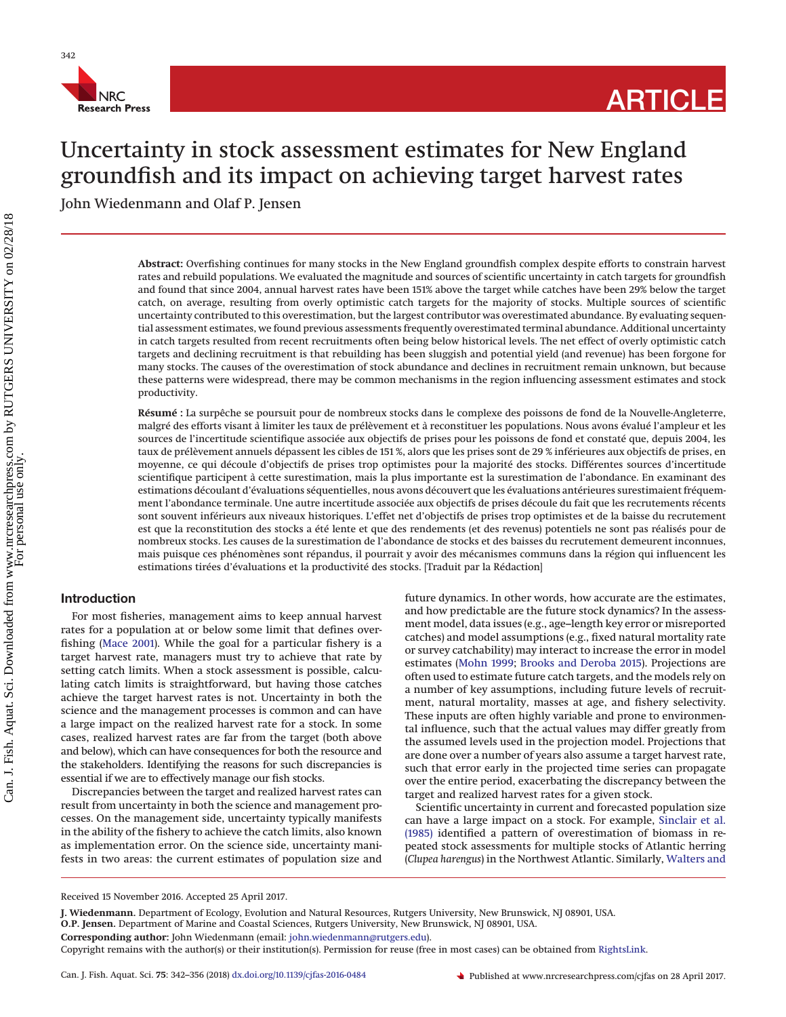

# Uncertainty in stock assessment estimates for New England groundfish and its impact on achieving target harvest rates

John Wiedenmann and Olaf P. Jensen

**Abstract:** Overfishing continues for many stocks in the New England groundfish complex despite efforts to constrain harvest rates and rebuild populations. We evaluated the magnitude and sources of scientific uncertainty in catch targets for groundfish and found that since 2004, annual harvest rates have been 151% above the target while catches have been 29% below the target catch, on average, resulting from overly optimistic catch targets for the majority of stocks. Multiple sources of scientific uncertainty contributed to this overestimation, but the largest contributor was overestimated abundance. By evaluating sequential assessment estimates, we found previous assessments frequently overestimated terminal abundance. Additional uncertainty in catch targets resulted from recent recruitments often being below historical levels. The net effect of overly optimistic catch targets and declining recruitment is that rebuilding has been sluggish and potential yield (and revenue) has been forgone for many stocks. The causes of the overestimation of stock abundance and declines in recruitment remain unknown, but because these patterns were widespread, there may be common mechanisms in the region influencing assessment estimates and stock productivity.

**Résumé :** La surpêche se poursuit pour de nombreux stocks dans le complexe des poissons de fond de la Nouvelle-Angleterre, malgré des efforts visant à limiter les taux de prélèvement et à reconstituer les populations. Nous avons évalué l'ampleur et les sources de l'incertitude scientifique associée aux objectifs de prises pour les poissons de fond et constaté que, depuis 2004, les taux de prélèvement annuels dépassent les cibles de 151 %, alors que les prises sont de 29 % inférieures aux objectifs de prises, en moyenne, ce qui découle d'objectifs de prises trop optimistes pour la majorité des stocks. Différentes sources d'incertitude scientifique participent à cette surestimation, mais la plus importante est la surestimation de l'abondance. En examinant des estimations découlant d'évaluations séquentielles, nous avons découvert que les évaluations antérieures surestimaient fréquemment l'abondance terminale. Une autre incertitude associée aux objectifs de prises découle du fait que les recrutements récents sont souvent inférieurs aux niveaux historiques. L'effet net d'objectifs de prises trop optimistes et de la baisse du recrutement est que la reconstitution des stocks a été lente et que des rendements (et des revenus) potentiels ne sont pas réalisés pour de nombreux stocks. Les causes de la surestimation de l'abondance de stocks et des baisses du recrutement demeurent inconnues, mais puisque ces phénomènes sont répandus, il pourrait y avoir des mécanismes communs dans la région qui influencent les estimations tirées d'évaluations et la productivité des stocks. [Traduit par la Rédaction]

# **Introduction**

For most fisheries, management aims to keep annual harvest rates for a population at or below some limit that defines overfishing [\(Mace 2001\)](#page-13-0). While the goal for a particular fishery is a target harvest rate, managers must try to achieve that rate by setting catch limits. When a stock assessment is possible, calculating catch limits is straightforward, but having those catches achieve the target harvest rates is not. Uncertainty in both the science and the management processes is common and can have a large impact on the realized harvest rate for a stock. In some cases, realized harvest rates are far from the target (both above and below), which can have consequences for both the resource and the stakeholders. Identifying the reasons for such discrepancies is essential if we are to effectively manage our fish stocks.

Discrepancies between the target and realized harvest rates can result from uncertainty in both the science and management processes. On the management side, uncertainty typically manifests in the ability of the fishery to achieve the catch limits, also known as implementation error. On the science side, uncertainty manifests in two areas: the current estimates of population size and future dynamics. In other words, how accurate are the estimates, and how predictable are the future stock dynamics? In the assessment model, data issues (e.g., age–length key error or misreported catches) and model assumptions (e.g., fixed natural mortality rate or survey catchability) may interact to increase the error in model estimates [\(Mohn 1999;](#page-13-1) [Brooks and Deroba 2015\)](#page-13-2). Projections are often used to estimate future catch targets, and the models rely on a number of key assumptions, including future levels of recruitment, natural mortality, masses at age, and fishery selectivity. These inputs are often highly variable and prone to environmental influence, such that the actual values may differ greatly from the assumed levels used in the projection model. Projections that are done over a number of years also assume a target harvest rate, such that error early in the projected time series can propagate over the entire period, exacerbating the discrepancy between the target and realized harvest rates for a given stock.

Scientific uncertainty in current and forecasted population size can have a large impact on a stock. For example, [Sinclair et al.](#page-14-0) [\(1985\)](#page-14-0) identified a pattern of overestimation of biomass in repeated stock assessments for multiple stocks of Atlantic herring (*Clupea harengus*) in the Northwest Atlantic. Similarly, [Walters and](#page-14-1)

Received 15 November 2016. Accepted 25 April 2017.

**J. Wiedenmann.** Department of Ecology, Evolution and Natural Resources, Rutgers University, New Brunswick, NJ 08901, USA.

**O.P. Jensen.** Department of Marine and Coastal Sciences, Rutgers University, New Brunswick, NJ 08901, USA.

**Corresponding author:** John Wiedenmann (email: [john.wiedenmann@rutgers.edu\)](mailto:john.wiedenmann@rutgers.edu).

Copyright remains with the author(s) or their institution(s). Permission for reuse (free in most cases) can be obtained from [RightsLink.](http://www.nrcresearchpress.com/page/authors/services/reprints)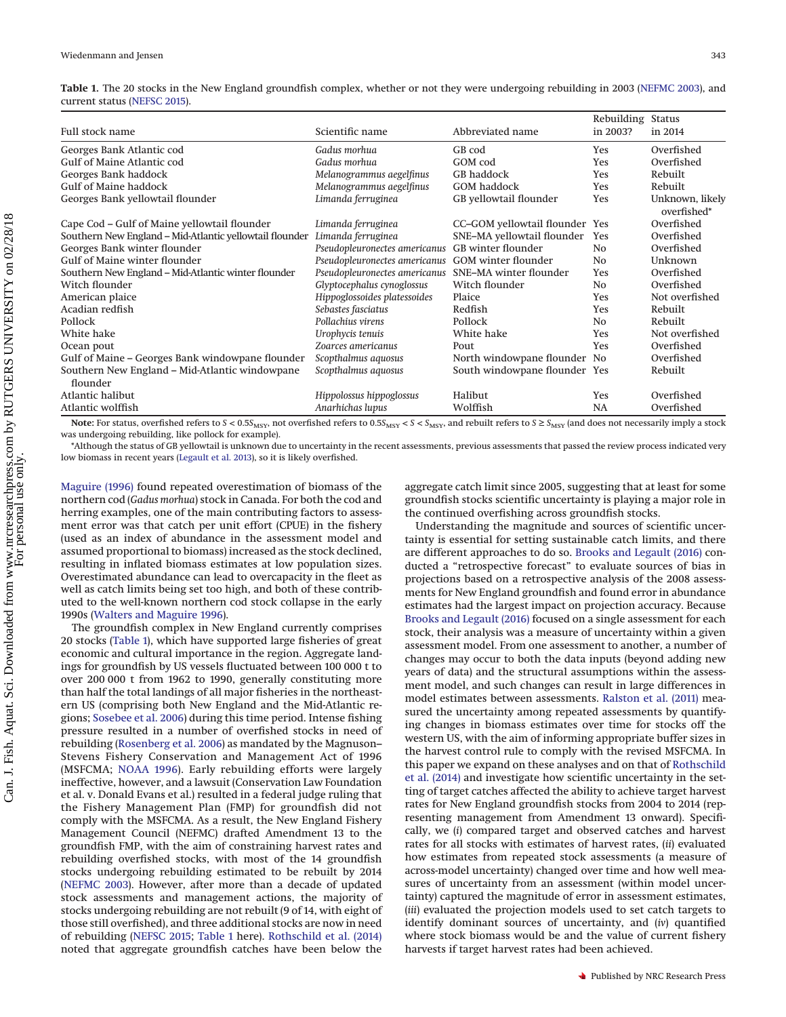<span id="page-1-0"></span>

|                              |  |  | Table 1. The 20 stocks in the New England groundfish complex, whether or not they were undergoing rebuilding in 2003 (NEFMC 2003), and |  |
|------------------------------|--|--|----------------------------------------------------------------------------------------------------------------------------------------|--|
| current status (NEFSC 2015). |  |  |                                                                                                                                        |  |

|                                                            |                                              |                                | Rebuilding Status |                                |
|------------------------------------------------------------|----------------------------------------------|--------------------------------|-------------------|--------------------------------|
| Full stock name                                            | Scientific name                              | Abbreviated name               | in 2003?          | in 2014                        |
| Georges Bank Atlantic cod                                  | Gadus morhua                                 | GB cod                         | <b>Yes</b>        | Overfished                     |
| Gulf of Maine Atlantic cod                                 | Gadus morhua                                 | GOM cod                        | <b>Yes</b>        | Overfished                     |
| Georges Bank haddock                                       | Melanogrammus aegelfinus                     | GB haddock                     | <b>Yes</b>        | Rebuilt                        |
| <b>Gulf of Maine haddock</b>                               | Melanogrammus aegelfinus                     | <b>GOM</b> haddock             | <b>Yes</b>        | Rebuilt                        |
| Georges Bank yellowtail flounder                           | Limanda ferruginea<br>GB yellowtail flounder |                                | Yes               | Unknown, likely<br>overfished* |
| Cape Cod - Gulf of Maine yellowtail flounder               | Limanda ferruginea                           | CC-GOM yellowtail flounder Yes |                   | Overfished                     |
| Southern New England - Mid-Atlantic yellowtail flounder    | Limanda ferruginea                           | SNE-MA yellowtail flounder     | Yes               | Overfished                     |
| Georges Bank winter flounder                               | Pseudopleuronectes americanus                | GB winter flounder             | N <sub>0</sub>    | Overfished                     |
| <b>Gulf of Maine winter flounder</b>                       | Pseudopleuronectes americanus                | GOM winter flounder            | N <sub>0</sub>    | Unknown                        |
| Southern New England – Mid-Atlantic winter flounder        | Pseudopleuronectes americanus                | SNE-MA winter flounder         | <b>Yes</b>        | Overfished                     |
| Witch flounder                                             | Glyptocephalus cynoglossus                   | Witch flounder                 | No.               | Overfished                     |
| American plaice                                            | Hippoglossoides platessoides                 | Plaice                         | <b>Yes</b>        | Not overfished                 |
| Acadian redfish                                            | Sebastes fasciatus                           | Redfish                        | <b>Yes</b>        | Rebuilt                        |
| Pollock                                                    | Pollachius virens                            | Pollock                        | N <sub>0</sub>    | Rebuilt                        |
| White hake                                                 | Urophycis tenuis                             | White hake                     | Yes               | Not overfished                 |
| Ocean pout                                                 | Zoarces americanus                           | Pout                           | <b>Yes</b>        | Overfished                     |
| Gulf of Maine – Georges Bank windowpane flounder           | Scopthalmus aquosus                          | North windowpane flounder No   |                   | Overfished                     |
| Southern New England - Mid-Atlantic windowpane<br>flounder | Scopthalmus aquosus                          | South windowpane flounder Yes  |                   | Rebuilt                        |
| Atlantic halibut                                           | Hippolossus hippoglossus                     | Halibut                        | Yes               | Overfished                     |
| Atlantic wolffish                                          | Anarhichas lupus                             | Wolffish                       | NA                | Overfished                     |

Note: For status, overfished refers to  $S < 0.5S$ <sub>MSY</sub>, not overfished refers to  $0.5S$ <sub>MSY</sub>  $S < S$ <sub>MSY</sub>, and rebuilt refers to  $S \ge S$ <sub>MSY</sub> (and does not necessarily imply a stock was undergoing rebuilding, like pollock for example).

\*Although the status of GB yellowtail is unknown due to uncertainty in the recent assessments, previous assessments that passed the review process indicated very low biomass in recent years [\(Legault et al. 2013\)](#page-13-6), so it is likely overfished.

[Maguire \(1996\)](#page-14-1) found repeated overestimation of biomass of the northern cod (*Gadus morhua*) stock in Canada. For both the cod and herring examples, one of the main contributing factors to assessment error was that catch per unit effort (CPUE) in the fishery (used as an index of abundance in the assessment model and assumed proportional to biomass) increased as the stock declined, resulting in inflated biomass estimates at low population sizes. Overestimated abundance can lead to overcapacity in the fleet as well as catch limits being set too high, and both of these contributed to the well-known northern cod stock collapse in the early 1990s [\(Walters and Maguire 1996\)](#page-14-1).

The groundfish complex in New England currently comprises 20 stocks [\(Table 1\)](#page-1-0), which have supported large fisheries of great economic and cultural importance in the region. Aggregate landings for groundfish by US vessels fluctuated between 100 000 t to over 200 000 t from 1962 to 1990, generally constituting more than half the total landings of all major fisheries in the northeastern US (comprising both New England and the Mid-Atlantic regions; [Sosebee et al. 2006\)](#page-14-2) during this time period. Intense fishing pressure resulted in a number of overfished stocks in need of rebuilding [\(Rosenberg et al. 2006\)](#page-14-3) as mandated by the Magnuson– Stevens Fishery Conservation and Management Act of 1996 (MSFCMA; [NOAA 1996\)](#page-13-3). Early rebuilding efforts were largely ineffective, however, and a lawsuit (Conservation Law Foundation et al. v. Donald Evans et al.) resulted in a federal judge ruling that the Fishery Management Plan (FMP) for groundfish did not comply with the MSFCMA. As a result, the New England Fishery Management Council (NEFMC) drafted Amendment 13 to the groundfish FMP, with the aim of constraining harvest rates and rebuilding overfished stocks, with most of the 14 groundfish stocks undergoing rebuilding estimated to be rebuilt by 2014 [\(NEFMC 2003\)](#page-13-4). However, after more than a decade of updated stock assessments and management actions, the majority of stocks undergoing rebuilding are not rebuilt (9 of 14, with eight of those still overfished), and three additional stocks are now in need of rebuilding [\(NEFSC 2015;](#page-14-4) [Table 1](#page-1-0) here). [Rothschild et al. \(2014\)](#page-14-5) noted that aggregate groundfish catches have been below the

aggregate catch limit since 2005, suggesting that at least for some groundfish stocks scientific uncertainty is playing a major role in the continued overfishing across groundfish stocks.

Understanding the magnitude and sources of scientific uncertainty is essential for setting sustainable catch limits, and there are different approaches to do so. [Brooks and Legault \(2016\)](#page-13-5) conducted a "retrospective forecast" to evaluate sources of bias in projections based on a retrospective analysis of the 2008 assessments for New England groundfish and found error in abundance estimates had the largest impact on projection accuracy. Because [Brooks and Legault \(2016\)](#page-13-5) focused on a single assessment for each stock, their analysis was a measure of uncertainty within a given assessment model. From one assessment to another, a number of changes may occur to both the data inputs (beyond adding new years of data) and the structural assumptions within the assessment model, and such changes can result in large differences in model estimates between assessments. [Ralston et al. \(2011\)](#page-14-6) measured the uncertainty among repeated assessments by quantifying changes in biomass estimates over time for stocks off the western US, with the aim of informing appropriate buffer sizes in the harvest control rule to comply with the revised MSFCMA. In this paper we expand on these analyses and on that of [Rothschild](#page-14-5) [et al. \(2014\)](#page-14-5) and investigate how scientific uncertainty in the setting of target catches affected the ability to achieve target harvest rates for New England groundfish stocks from 2004 to 2014 (representing management from Amendment 13 onward). Specifically, we (*i*) compared target and observed catches and harvest rates for all stocks with estimates of harvest rates, (*ii*) evaluated how estimates from repeated stock assessments (a measure of across-model uncertainty) changed over time and how well measures of uncertainty from an assessment (within model uncertainty) captured the magnitude of error in assessment estimates, (*iii*) evaluated the projection models used to set catch targets to identify dominant sources of uncertainty, and (*iv*) quantified where stock biomass would be and the value of current fishery harvests if target harvest rates had been achieved.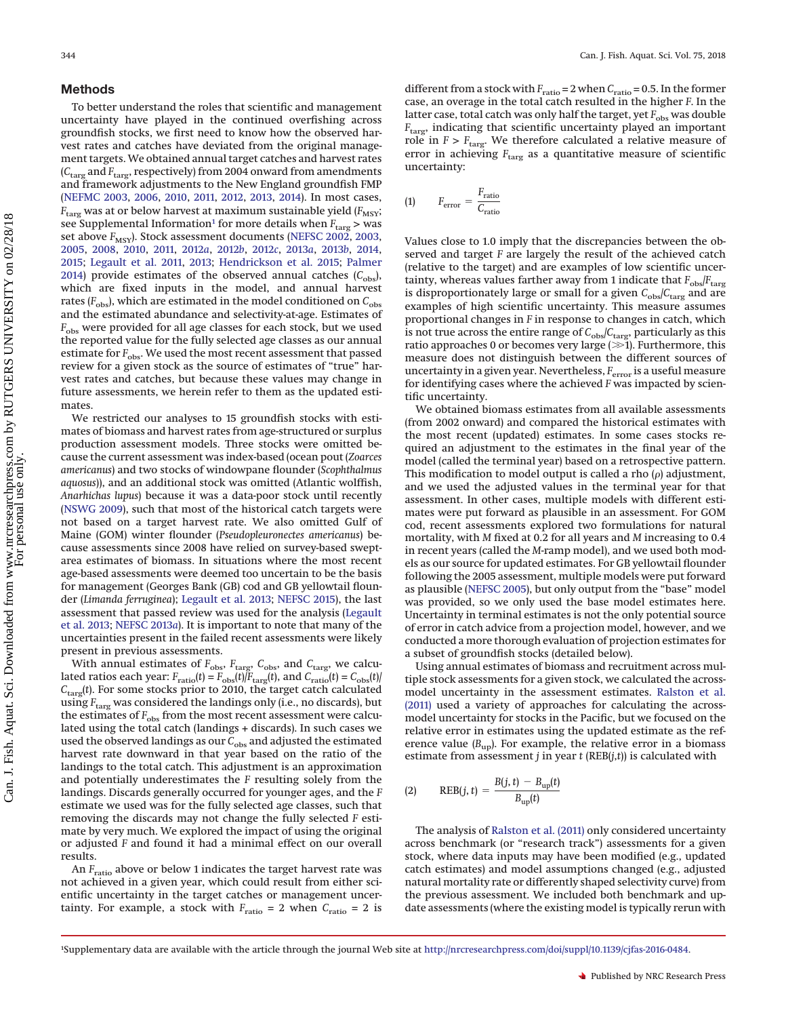## **Methods**

To better understand the roles that scientific and management uncertainty have played in the continued overfishing across groundfish stocks, we first need to know how the observed harvest rates and catches have deviated from the original management targets. We obtained annual target catches and harvest rates (*C*targ and *F*targ, respectively) from 2004 onward from amendments and framework adjustments to the New England groundfish FMP [\(NEFMC 2003,](#page-13-4) [2006,](#page-13-7) [2010,](#page-13-8) [2011,](#page-13-9) [2012,](#page-13-10) [2013,](#page-13-11) [2014\)](#page-13-12). In most cases,  $F_{\rm targ}$  was at or below harvest at maximum sustainable yield ( $F_{\rm MSY}$ ; see Supplemental Information<sup>1</sup> for more details when  $F_{\text{targ}} >$  was set above *F<sub>MSY</sub>*). Stock assessment documents [\(NEFSC 2002,](#page-13-13) [2003,](#page-13-14) [2005,](#page-14-7) [2008,](#page-14-8) [2010,](#page-14-9) [2011,](#page-14-10) [2012](#page-14-11)*a*, [2012](#page-14-12)*b*, [2012](#page-14-13)*c*, [2013](#page-14-14)*a*, [2013](#page-14-15)*b*, [2014,](#page-14-16) [2015;](#page-14-4) [Legault et al. 2011,](#page-13-15) [2013;](#page-13-6) [Hendrickson et al. 2015;](#page-13-16) [Palmer](#page-14-17) [2014\)](#page-14-17) provide estimates of the observed annual catches  $(C_{obs})$ , which are fixed inputs in the model, and annual harvest rates  $(F_{obs})$ , which are estimated in the model conditioned on  $C_{obs}$ and the estimated abundance and selectivity-at-age. Estimates of *F*<sub>obs</sub> were provided for all age classes for each stock, but we used the reported value for the fully selected age classes as our annual estimate for  $F_{\text{obs}}$ . We used the most recent assessment that passed review for a given stock as the source of estimates of "true" harvest rates and catches, but because these values may change in future assessments, we herein refer to them as the updated estimates.

We restricted our analyses to 15 groundfish stocks with estimates of biomass and harvest rates from age-structured or surplus production assessment models. Three stocks were omitted because the current assessment was index-based (ocean pout (*Zoarces americanus*) and two stocks of windowpane flounder (*Scophthalmus aquosus*)), and an additional stock was omitted (Atlantic wolffish, *Anarhichas lupus*) because it was a data-poor stock until recently [\(NSWG 2009\)](#page-14-18), such that most of the historical catch targets were not based on a target harvest rate. We also omitted Gulf of Maine (GOM) winter flounder (*Pseudopleuronectes americanus*) because assessments since 2008 have relied on survey-based sweptarea estimates of biomass. In situations where the most recent age-based assessments were deemed too uncertain to be the basis for management (Georges Bank (GB) cod and GB yellowtail flounder (*Limanda ferruginea*); [Legault et al. 2013;](#page-13-6) [NEFSC 2015\)](#page-14-4), the last assessment that passed review was used for the analysis [\(Legault](#page-13-6) [et al. 2013;](#page-13-6) [NEFSC 2013](#page-14-14)*a*). It is important to note that many of the uncertainties present in the failed recent assessments were likely present in previous assessments.

With annual estimates of  $F_{\text{obs}}$ ,  $F_{\text{targ}}$ ,  $C_{\text{obs}}$ , and  $C_{\text{targ}}$ , we calculated ratios each year:  $F_{\text{ratio}}(t) = F_{\text{obs}}(t)/F_{\text{targ}}(t)$ , and  $C_{\text{ratio}}(t) = C_{\text{obs}}(t)/F_{\text{carg}}(t)$ *C*targ(*t*). For some stocks prior to 2010, the target catch calculated using *F*<sub>targ</sub> was considered the landings only (i.e., no discards), but the estimates of *F*<sub>obs</sub> from the most recent assessment were calculated using the total catch (landings + discards). In such cases we used the observed landings as our  $C_{\rm obs}$  and adjusted the estimated harvest rate downward in that year based on the ratio of the landings to the total catch. This adjustment is an approximation and potentially underestimates the *F* resulting solely from the landings. Discards generally occurred for younger ages, and the *F* estimate we used was for the fully selected age classes, such that removing the discards may not change the fully selected *F* estimate by very much. We explored the impact of using the original or adjusted *F* and found it had a minimal effect on our overall results.

An *F*<sub>ratio</sub> above or below 1 indicates the target harvest rate was not achieved in a given year, which could result from either scientific uncertainty in the target catches or management uncertainty. For example, a stock with  $F_{\text{ratio}} = 2$  when  $C_{\text{ratio}} = 2$  is different from a stock with *F*ratio = 2 when *C*ratio = 0.5. In the former case, an overage in the total catch resulted in the higher *F*. In the latter case, total catch was only half the target, yet  $F_{\rm obs}$  was double *F*targ, indicating that scientific uncertainty played an important role in *F* > *F*<sub>targ</sub>. We therefore calculated a relative measure of error in achieving *F*targ as a quantitative measure of scientific uncertainty:

<span id="page-2-1"></span>
$$
\text{(1)} \qquad F_{\text{error}} = \frac{F_{\text{ratio}}}{C_{\text{ratio}}}
$$

Values close to 1.0 imply that the discrepancies between the observed and target *F* are largely the result of the achieved catch (relative to the target) and are examples of low scientific uncertainty, whereas values farther away from 1 indicate that  $F_{\rm obs}/F_{\rm targ}$ is disproportionately large or small for a given *C*obs/*C*targ and are examples of high scientific uncertainty. This measure assumes proportional changes in *F* in response to changes in catch, which is not true across the entire range of  $C_{\text{obs}}/C_{\text{targ}}$ , particularly as this ratio approaches 0 or becomes very large ( $\gg$ 1). Furthermore, this measure does not distinguish between the different sources of uncertainty in a given year. Nevertheless, *F*error is a useful measure for identifying cases where the achieved *F* was impacted by scientific uncertainty.

We obtained biomass estimates from all available assessments (from 2002 onward) and compared the historical estimates with the most recent (updated) estimates. In some cases stocks required an adjustment to the estimates in the final year of the model (called the terminal year) based on a retrospective pattern. This modification to model output is called a rho  $(\rho)$  adjustment, and we used the adjusted values in the terminal year for that assessment. In other cases, multiple models with different estimates were put forward as plausible in an assessment. For GOM cod, recent assessments explored two formulations for natural mortality, with *M* fixed at 0.2 for all years and *M* increasing to 0.4 in recent years (called the *M*-ramp model), and we used both models as our source for updated estimates. For GB yellowtail flounder following the 2005 assessment, multiple models were put forward as plausible [\(NEFSC 2005\)](#page-14-7), but only output from the "base" model was provided, so we only used the base model estimates here. Uncertainty in terminal estimates is not the only potential source of error in catch advice from a projection model, however, and we conducted a more thorough evaluation of projection estimates for a subset of groundfish stocks (detailed below).

Using annual estimates of biomass and recruitment across multiple stock assessments for a given stock, we calculated the acrossmodel uncertainty in the assessment estimates. [Ralston et al.](#page-14-6) [\(2011\)](#page-14-6) used a variety of approaches for calculating the acrossmodel uncertainty for stocks in the Pacific, but we focused on the relative error in estimates using the updated estimate as the reference value  $(B_{\text{up}})$ . For example, the relative error in a biomass estimate from assessment *j* in year *t* (REB(*j*,*t*)) is calculated with

<span id="page-2-2"></span>
$$
(2) \qquad \text{REB}(j, t) = \frac{B(j, t) - B_{\text{up}}(t)}{B_{\text{up}}(t)}
$$

The analysis of [Ralston et al. \(2011\)](#page-14-6) only considered uncertainty across benchmark (or "research track") assessments for a given stock, where data inputs may have been modified (e.g., updated catch estimates) and model assumptions changed (e.g., adjusted natural mortality rate or differently shaped selectivity curve) from the previous assessment. We included both benchmark and update assessments (where the existing model is typically rerun with

<span id="page-2-0"></span><sup>1</sup> Supplementary data are available with the article through the journal Web site at [http://nrcresearchpress.com/doi/suppl/10.1139/cjfas-2016-0484.](http://nrcresearchpress.com/doi/suppl/10.1139/cjfas-2016-0484)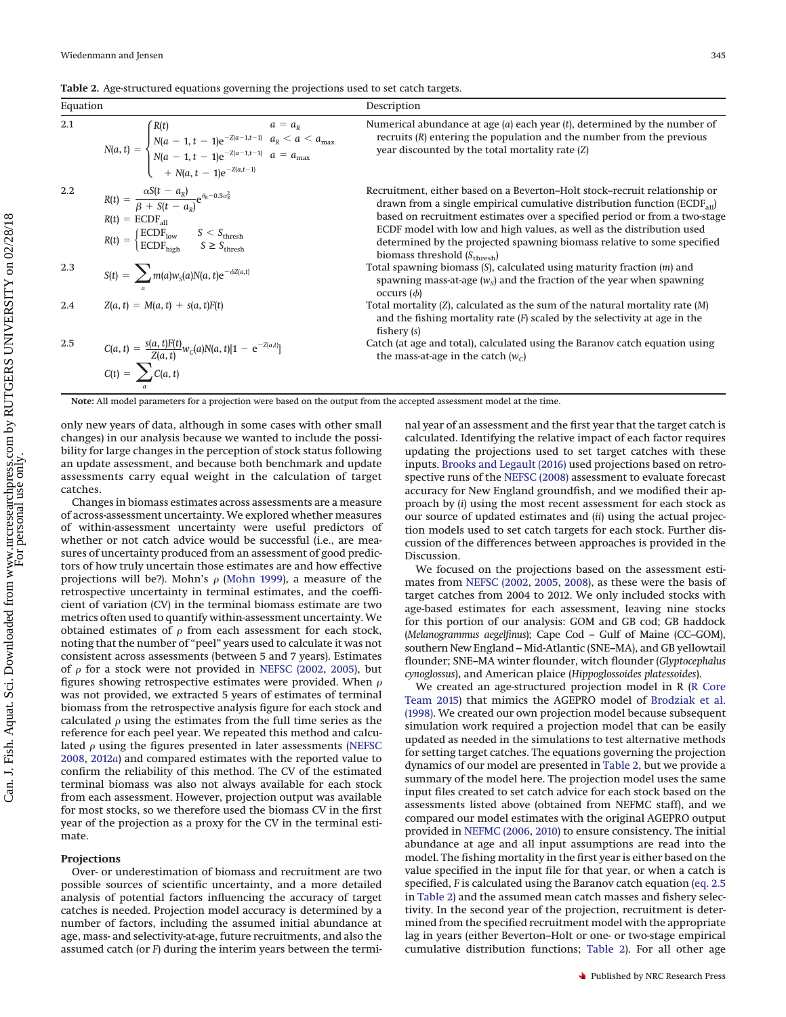<span id="page-3-0"></span>**Table 2.** Age-structured equations governing the projections used to set catch targets.

<span id="page-3-3"></span><span id="page-3-2"></span>

| Equation |                                                                                                                                                                                                                                                         | Description                                                                                                                                                                                                                                                                                                                                                                                                                                |
|----------|---------------------------------------------------------------------------------------------------------------------------------------------------------------------------------------------------------------------------------------------------------|--------------------------------------------------------------------------------------------------------------------------------------------------------------------------------------------------------------------------------------------------------------------------------------------------------------------------------------------------------------------------------------------------------------------------------------------|
| 2.1      | $N(a, t) = \begin{cases} R(t) & a = a_R \\ N(a - 1, t - 1)e^{-Z(a - 1, t - 1)} & a_R < a < a_{\text{max}} \\ N(a - 1, t - 1)e^{-Z(a - 1, t - 1)} & a = a_{\text{max}} \\ + N(a, t - 1)e^{-Z(a, t - 1)} & \end{cases}$                                   | Numerical abundance at age $(a)$ each year $(t)$ , determined by the number of<br>recruits $(R)$ entering the population and the number from the previous<br>year discounted by the total mortality rate (Z)                                                                                                                                                                                                                               |
| $2.2\,$  | $R(t) = \frac{\alpha S(t - a_R)}{\beta + S(t - a_n)} e^{\theta_R - 0.5\sigma_R^2}$<br>$R(t) = ECDF_{all}$<br>$R(t) = \begin{cases} \text{ECDF}_{\text{low}} & S < S_{\text{thresh}} \\ \text{ECDF}_{\text{high}} & S \ge S_{\text{thresh}} \end{cases}$ | Recruitment, either based on a Beverton–Holt stock–recruit relationship or<br>drawn from a single empirical cumulative distribution function ( $ECDF_{all}$ )<br>based on recruitment estimates over a specified period or from a two-stage<br>ECDF model with low and high values, as well as the distribution used<br>determined by the projected spawning biomass relative to some specified<br>biomass threshold $(S_{\text{thresh}})$ |
| 2.3      | $S(t) = \sum_{a} m(a) w_{S}(a) N(a, t) e^{-\phi Z(a, t)}$                                                                                                                                                                                               | Total spawning biomass $(S)$ , calculated using maturity fraction $(m)$ and<br>spawning mass-at-age $(w_s)$ and the fraction of the year when spawning<br>$occurs(\phi)$                                                                                                                                                                                                                                                                   |
| 2.4      | $Z(a, t) = M(a, t) + s(a, t)F(t)$                                                                                                                                                                                                                       | Total mortality $(Z)$ , calculated as the sum of the natural mortality rate $(M)$<br>and the fishing mortality rate $(F)$ scaled by the selectivity at age in the<br>fishery $(s)$                                                                                                                                                                                                                                                         |
| 2.5      | C(a, t) = $\frac{S(a, t)F(t)}{Z(a, t)}w_C(a)N(a, t)[1 - e^{-Z(a, t)}]$<br>C(t) = $\sum C(a, t)$                                                                                                                                                         | Catch (at age and total), calculated using the Baranov catch equation using<br>the mass-at-age in the catch $(wc)$                                                                                                                                                                                                                                                                                                                         |

<span id="page-3-1"></span>**Note:** All model parameters for a projection were based on the output from the accepted assessment model at the time.

only new years of data, although in some cases with other small changes) in our analysis because we wanted to include the possibility for large changes in the perception of stock status following an update assessment, and because both benchmark and update assessments carry equal weight in the calculation of target catches.

Changes in biomass estimates across assessments are a measure of across-assessment uncertainty. We explored whether measures of within*-*assessment uncertainty were useful predictors of whether or not catch advice would be successful (i.e., are measures of uncertainty produced from an assessment of good predictors of how truly uncertain those estimates are and how effective projections will be?). Mohn's  $\rho$  [\(Mohn 1999\)](#page-13-1), a measure of the retrospective uncertainty in terminal estimates, and the coefficient of variation (CV) in the terminal biomass estimate are two metrics often used to quantify within-assessment uncertainty. We obtained estimates of  $\rho$  from each assessment for each stock, noting that the number of "peel" years used to calculate it was not consistent across assessments (between 5 and 7 years). Estimates of  $\rho$  for a stock were not provided in [NEFSC \(2002,](#page-13-13) [2005\)](#page-14-7), but figures showing retrospective estimates were provided. When  $\rho$ was not provided, we extracted 5 years of estimates of terminal biomass from the retrospective analysis figure for each stock and calculated  $\rho$  using the estimates from the full time series as the reference for each peel year. We repeated this method and calculated  $\rho$  using the figures presented in later assessments [\(NEFSC](#page-14-8) [2008,](#page-14-8) [2012](#page-14-11)*a*) and compared estimates with the reported value to confirm the reliability of this method. The CV of the estimated terminal biomass was also not always available for each stock from each assessment. However, projection output was available for most stocks, so we therefore used the biomass CV in the first year of the projection as a proxy for the CV in the terminal estimate.

#### **Projections**

Over- or underestimation of biomass and recruitment are two possible sources of scientific uncertainty, and a more detailed analysis of potential factors influencing the accuracy of target catches is needed. Projection model accuracy is determined by a number of factors, including the assumed initial abundance at age, mass- and selectivity-at-age, future recruitments, and also the assumed catch (or *F*) during the interim years between the termi-

nal year of an assessment and the first year that the target catch is calculated. Identifying the relative impact of each factor requires updating the projections used to set target catches with these inputs. [Brooks and Legault \(2016\)](#page-13-5) used projections based on retrospective runs of the [NEFSC \(2008\)](#page-14-8) assessment to evaluate forecast accuracy for New England groundfish, and we modified their approach by (*i*) using the most recent assessment for each stock as our source of updated estimates and (*ii*) using the actual projection models used to set catch targets for each stock. Further discussion of the differences between approaches is provided in the Discussion.

We focused on the projections based on the assessment estimates from [NEFSC \(2002,](#page-13-13) [2005,](#page-14-7) [2008\)](#page-14-8), as these were the basis of target catches from 2004 to 2012. We only included stocks with age-based estimates for each assessment, leaving nine stocks for this portion of our analysis: GOM and GB cod; GB haddock (*Melanogrammus aegelfinus*); Cape Cod – Gulf of Maine (CC–GOM), southern New England – Mid-Atlantic (SNE–MA), and GB yellowtail flounder; SNE–MA winter flounder, witch flounder (*Glyptocephalus cynoglossus*), and American plaice (*Hippoglossoides platessoides*).

We created an age-structured projection model in R [\(R Core](#page-14-19) [Team 2015\)](#page-14-19) that mimics the AGEPRO model of [Brodziak et al.](#page-13-17) [\(1998\).](#page-13-17) We created our own projection model because subsequent simulation work required a projection model that can be easily updated as needed in the simulations to test alternative methods for setting target catches. The equations governing the projection dynamics of our model are presented in [Table 2,](#page-3-0) but we provide a summary of the model here. The projection model uses the same input files created to set catch advice for each stock based on the assessments listed above (obtained from NEFMC staff), and we compared our model estimates with the original AGEPRO output provided in [NEFMC \(2006,](#page-13-7) [2010\)](#page-13-8) to ensure consistency. The initial abundance at age and all input assumptions are read into the model. The fishing mortality in the first year is either based on the value specified in the input file for that year, or when a catch is specified, *F* is calculated using the Baranov catch equation [\(eq. 2.5](#page-3-1) in [Table 2\)](#page-3-0) and the assumed mean catch masses and fishery selectivity. In the second year of the projection, recruitment is determined from the specified recruitment model with the appropriate lag in years (either Beverton–Holt or one- or two-stage empirical cumulative distribution functions; [Table 2\)](#page-3-0). For all other age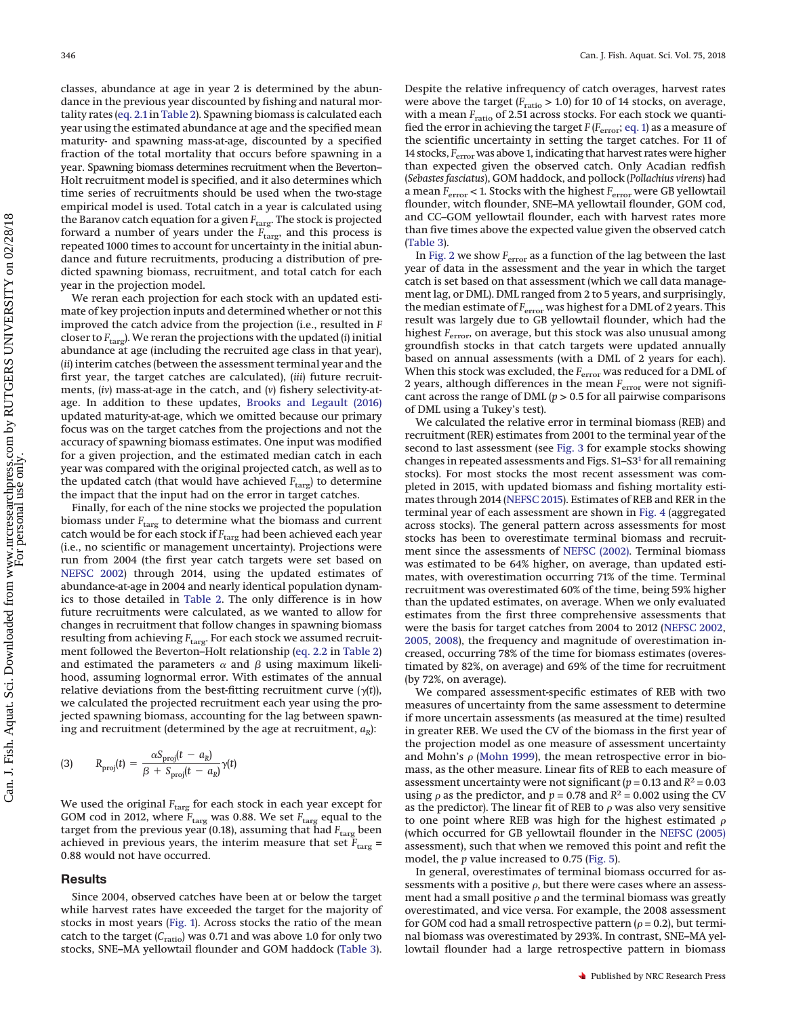classes, abundance at age in year 2 is determined by the abundance in the previous year discounted by fishing and natural mortality rates [\(eq. 2.1](#page-3-2) in [Table 2\)](#page-3-0). Spawning biomass is calculated each year using the estimated abundance at age and the specified mean maturity- and spawning mass-at-age, discounted by a specified fraction of the total mortality that occurs before spawning in a year. Spawning biomass determines recruitment when the Beverton– Holt recruitment model is specified, and it also determines which time series of recruitments should be used when the two-stage empirical model is used. Total catch in a year is calculated using the Baranov catch equation for a given *F*<sub>targ</sub>. The stock is projected forward a number of years under the *F*<sub>targ</sub>, and this process is repeated 1000 times to account for uncertainty in the initial abundance and future recruitments, producing a distribution of predicted spawning biomass, recruitment, and total catch for each year in the projection model.

We reran each projection for each stock with an updated estimate of key projection inputs and determined whether or not this improved the catch advice from the projection (i.e., resulted in *F* closer to *F*targ). We reran the projections with the updated (*i*) initial abundance at age (including the recruited age class in that year), (*ii*) interim catches (between the assessment terminal year and the first year, the target catches are calculated), (*iii*) future recruitments, (*iv*) mass-at-age in the catch, and (*v*) fishery selectivity-atage. In addition to these updates, [Brooks and Legault \(2016\)](#page-13-5) updated maturity-at-age, which we omitted because our primary focus was on the target catches from the projections and not the accuracy of spawning biomass estimates. One input was modified for a given projection, and the estimated median catch in each year was compared with the original projected catch, as well as to the updated catch (that would have achieved  $F_{\text{targ}}$ ) to determine the impact that the input had on the error in target catches.

Finally, for each of the nine stocks we projected the population biomass under  $F_{\rm targ}$  to determine what the biomass and current catch would be for each stock if *F*<sub>targ</sub> had been achieved each year (i.e., no scientific or management uncertainty). Projections were run from 2004 (the first year catch targets were set based on [NEFSC 2002\)](#page-13-13) through 2014, using the updated estimates of abundance-at-age in 2004 and nearly identical population dynamics to those detailed in [Table 2.](#page-3-0) The only difference is in how future recruitments were calculated, as we wanted to allow for changes in recruitment that follow changes in spawning biomass resulting from achieving  $F_{\text{targ}}$ . For each stock we assumed recruitment followed the Beverton–Holt relationship [\(eq. 2.2](#page-3-3) in [Table 2\)](#page-3-0) and estimated the parameters  $\alpha$  and  $\beta$  using maximum likelihood, assuming lognormal error. With estimates of the annual relative deviations from the best-fitting recruitment curve  $(\gamma(t))$ , we calculated the projected recruitment each year using the projected spawning biomass, accounting for the lag between spawning and recruitment (determined by the age at recruitment,  $a_R$ ):

(3) 
$$
R_{\text{proj}}(t) = \frac{\alpha S_{\text{proj}}(t - a_{R})}{\beta + S_{\text{proj}}(t - a_{R})} \gamma(t)
$$

We used the original *F*<sub>targ</sub> for each stock in each year except for GOM cod in 2012, where  $F_{\text{targ}}$  was 0.88. We set  $F_{\text{targ}}$  equal to the target from the previous year (0.18), assuming that had  $F_{\text{targ}}$  been achieved in previous years, the interim measure that set  $\bar{F}_{\text{targ}} =$ 0.88 would not have occurred.

# **Results**

Since 2004, observed catches have been at or below the target while harvest rates have exceeded the target for the majority of stocks in most years [\(Fig. 1\)](#page-5-0). Across stocks the ratio of the mean catch to the target (*C<sub>ratio</sub>*) was 0.71 and was above 1.0 for only two stocks, SNE–MA yellowtail flounder and GOM haddock [\(Table 3\)](#page-6-0).

Despite the relative infrequency of catch overages, harvest rates were above the target ( $F_{\text{ratio}}$  > 1.0) for 10 of 14 stocks, on average, with a mean  $F_{\text{ratio}}$  of 2.51 across stocks. For each stock we quantified the error in achieving the target *F* (*F*error; [eq. 1\)](#page-2-1) as a measure of the scientific uncertainty in setting the target catches. For 11 of 14 stocks, *F*<sub>error</sub> was above 1, indicating that harvest rates were higher than expected given the observed catch. Only Acadian redfish (*Sebastes fasciatus*), GOM haddock, and pollock (*Pollachius virens*) had a mean *F*error < 1. Stocks with the highest *F*error were GB yellowtail flounder, witch flounder, SNE–MA yellowtail flounder, GOM cod, and CC–GOM yellowtail flounder, each with harvest rates more than five times above the expected value given the observed catch [\(Table 3\)](#page-6-0).

In [Fig. 2](#page-6-1) we show  $F_{\text{error}}$  as a function of the lag between the last year of data in the assessment and the year in which the target catch is set based on that assessment (which we call data management lag, or DML). DML ranged from 2 to 5 years, and surprisingly, the median estimate of  $F_{\text{error}}$  was highest for a DML of 2 years. This result was largely due to GB yellowtail flounder, which had the highest *F*error, on average, but this stock was also unusual among groundfish stocks in that catch targets were updated annually based on annual assessments (with a DML of 2 years for each). When this stock was excluded, the *F*<sub>error</sub> was reduced for a DML of 2 years, although differences in the mean  $F<sub>error</sub>$  were not significant across the range of DML  $(p > 0.5$  for all pairwise comparisons of DML using a Tukey's test).

We calculated the relative error in terminal biomass (REB) and recruitment (RER) estimates from 2001 to the terminal year of the second to last assessment (see [Fig. 3](#page-7-0) for example stocks showing changes in repeated assessments and Figs. S1–S[31](#page-2-0) for all remaining stocks). For most stocks the most recent assessment was completed in 2015, with updated biomass and fishing mortality estimates through 2014 [\(NEFSC 2015\)](#page-14-4). Estimates of REB and RER in the terminal year of each assessment are shown in [Fig. 4](#page-8-0) (aggregated across stocks). The general pattern across assessments for most stocks has been to overestimate terminal biomass and recruitment since the assessments of [NEFSC \(2002\).](#page-13-13) Terminal biomass was estimated to be 64% higher, on average, than updated estimates, with overestimation occurring 71% of the time. Terminal recruitment was overestimated 60% of the time, being 59% higher than the updated estimates, on average. When we only evaluated estimates from the first three comprehensive assessments that were the basis for target catches from 2004 to 2012 [\(NEFSC 2002,](#page-13-13) [2005,](#page-14-7) [2008\)](#page-14-8), the frequency and magnitude of overestimation increased, occurring 78% of the time for biomass estimates (overestimated by 82%, on average) and 69% of the time for recruitment (by 72%, on average).

We compared assessment-specific estimates of REB with two measures of uncertainty from the same assessment to determine if more uncertain assessments (as measured at the time) resulted in greater REB. We used the CV of the biomass in the first year of the projection model as one measure of assessment uncertainty and Mohn's  $\rho$  [\(Mohn 1999\)](#page-13-1), the mean retrospective error in biomass, as the other measure. Linear fits of REB to each measure of assessment uncertainty were not significant ( $p = 0.13$  and  $R^2 = 0.03$ using  $\rho$  as the predictor, and  $p = 0.78$  and  $R^2 = 0.002$  using the CV as the predictor). The linear fit of REB to  $\rho$  was also very sensitive to one point where REB was high for the highest estimated  $\rho$ (which occurred for GB yellowtail flounder in the [NEFSC \(2005\)](#page-14-7) assessment), such that when we removed this point and refit the model, the *p* value increased to 0.75 [\(Fig. 5\)](#page-8-1).

In general, overestimates of terminal biomass occurred for assessments with a positive  $\rho$ , but there were cases where an assessment had a small positive  $\rho$  and the terminal biomass was greatly overestimated, and vice versa. For example, the 2008 assessment for GOM cod had a small retrospective pattern ( $\rho$  = 0.2), but terminal biomass was overestimated by 293%. In contrast, SNE–MA yellowtail flounder had a large retrospective pattern in biomass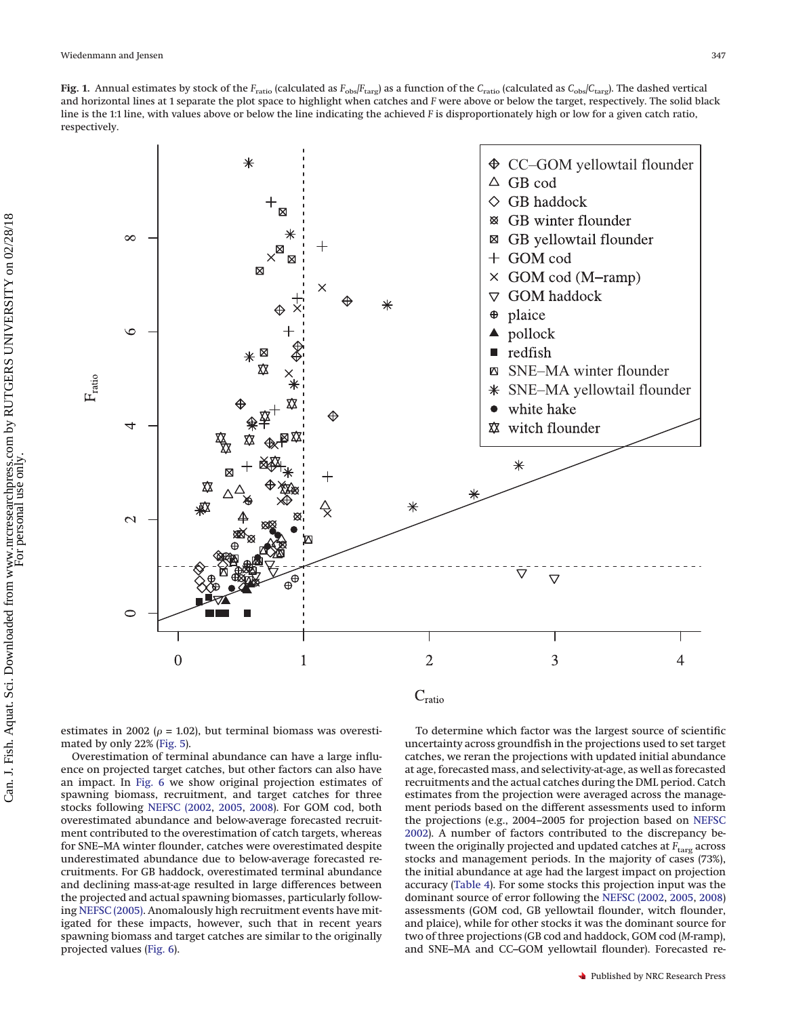<span id="page-5-0"></span>



estimates in 2002 ( $\rho$  = 1.02), but terminal biomass was overestimated by only 22% [\(Fig. 5\)](#page-8-1).

Overestimation of terminal abundance can have a large influence on projected target catches, but other factors can also have an impact. In [Fig. 6](#page-9-0) we show original projection estimates of spawning biomass, recruitment, and target catches for three stocks following [NEFSC \(2002,](#page-13-13) [2005,](#page-14-7) [2008\)](#page-14-8). For GOM cod, both overestimated abundance and below-average forecasted recruitment contributed to the overestimation of catch targets, whereas for SNE–MA winter flounder, catches were overestimated despite underestimated abundance due to below-average forecasted recruitments. For GB haddock, overestimated terminal abundance and declining mass-at-age resulted in large differences between the projected and actual spawning biomasses, particularly following [NEFSC \(2005\).](#page-14-7) Anomalously high recruitment events have mitigated for these impacts, however, such that in recent years spawning biomass and target catches are similar to the originally projected values [\(Fig. 6\)](#page-9-0).

To determine which factor was the largest source of scientific uncertainty across groundfish in the projections used to set target catches, we reran the projections with updated initial abundance at age, forecasted mass, and selectivity-at-age, as well as forecasted recruitments and the actual catches during the DML period. Catch estimates from the projection were averaged across the management periods based on the different assessments used to inform the projections (e.g., 2004–2005 for projection based on [NEFSC](#page-13-13) [2002\)](#page-13-13). A number of factors contributed to the discrepancy between the originally projected and updated catches at *F<sub>targ</sub>* across stocks and management periods. In the majority of cases (73%), the initial abundance at age had the largest impact on projection accuracy [\(Table 4\)](#page-10-0). For some stocks this projection input was the dominant source of error following the [NEFSC \(2002,](#page-13-13) [2005,](#page-14-7) [2008\)](#page-14-8) assessments (GOM cod, GB yellowtail flounder, witch flounder, and plaice), while for other stocks it was the dominant source for two of three projections (GB cod and haddock, GOM cod (*M*-ramp), and SNE–MA and CC–GOM yellowtail flounder). Forecasted re-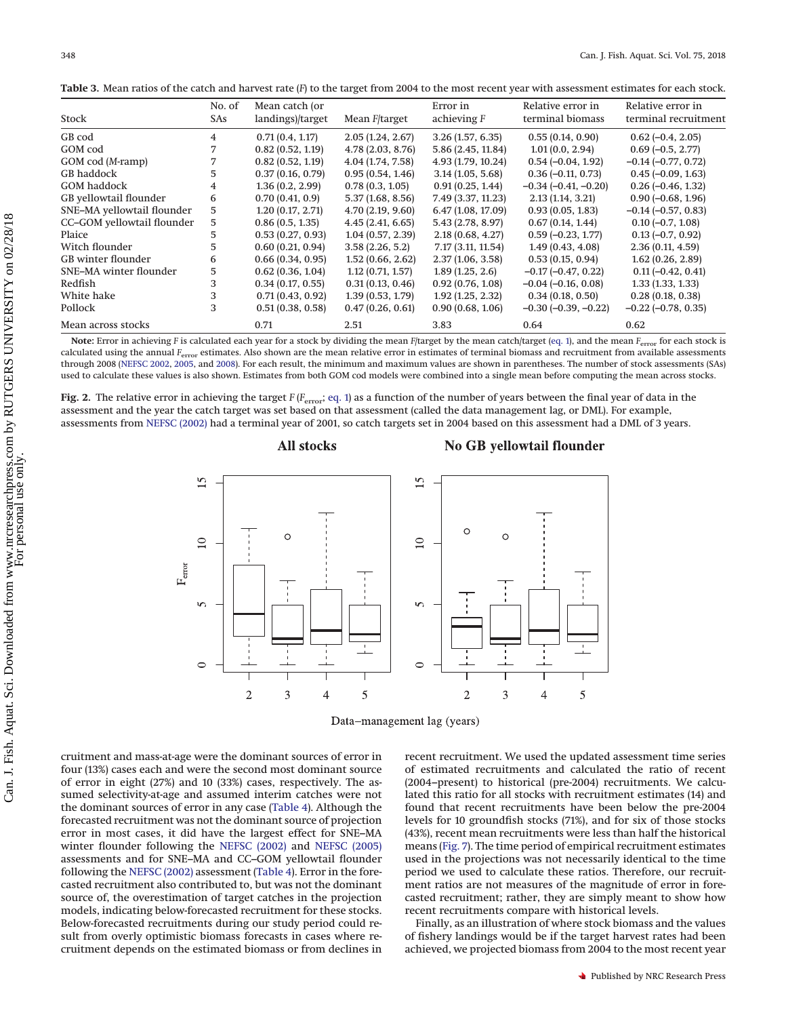|                            | No. of | Mean catch (or   |                       | Error in           | Relative error in        | Relative error in       |  |
|----------------------------|--------|------------------|-----------------------|--------------------|--------------------------|-------------------------|--|
| Stock                      | SAs    | landings)/target | Mean <i>F</i> /target | achieving $F$      | terminal biomass         | terminal recruitment    |  |
| GB cod                     | 4      | 0.71(0.4, 1.17)  | 2.05(1.24, 2.67)      | 3.26(1.57, 6.35)   | 0.55(0.14, 0.90)         | $0.62(-0.4, 2.05)$      |  |
| GOM cod                    |        | 0.82(0.52, 1.19) | 4.78(2.03, 8.76)      | 5.86 (2.45, 11.84) | 1.01(0.0, 2.94)          | $0.69(-0.5, 2.77)$      |  |
| GOM cod (M-ramp)           |        | 0.82(0.52, 1.19) | 4.04 (1.74, 7.58)     | 4.93 (1.79, 10.24) | $0.54(-0.04, 1.92)$      | $-0.14 (-0.77, 0.72)$   |  |
| GB haddock                 | 5.     | 0.37(0.16, 0.79) | 0.95(0.54, 1.46)      | 3.14(1.05, 5.68)   | $0.36(-0.11, 0.73)$      | $0.45 (-0.09, 1.63)$    |  |
| <b>GOM</b> haddock         | 4      | 1.36(0.2, 2.99)  | 0.78(0.3, 1.05)       | 0.91(0.25, 1.44)   | $-0.34(-0.41,-0.20)$     | $0.26(-0.46, 1.32)$     |  |
| GB yellowtail flounder     | 6      | 0.70(0.41, 0.9)  | 5.37(1.68, 8.56)      | 7.49 (3.37, 11.23) | 2.13(1.14, 3.21)         | $0.90 (-0.68, 1.96)$    |  |
| SNE-MA yellowtail flounder | 5.     | 1.20(0.17, 2.71) | 4.70(2.19, 9.60)      | 6.47 (1.08, 17.09) | 0.93(0.05, 1.83)         | $-0.14$ $(-0.57, 0.83)$ |  |
| CC-GOM yellowtail flounder | 5      | 0.86(0.5, 1.35)  | 4.45(2.41, 6.65)      | 5.43 (2.78, 8.97)  | 0.67(0.14, 1.44)         | $0.10 (-0.7, 1.08)$     |  |
| Plaice                     | 5.     | 0.53(0.27, 0.93) | 1.04(0.57, 2.39)      | 2.18(0.68, 4.27)   | $0.59(-0.23, 1.77)$      | $0.13(-0.7, 0.92)$      |  |
| Witch flounder             | 5.     | 0.60(0.21, 0.94) | 3.58(2.26, 5.2)       | 7.17 (3.11, 11.54) | 1.49(0.43, 4.08)         | 2.36(0.11, 4.59)        |  |
| GB winter flounder         | 6      | 0.66(0.34, 0.95) | 1.52(0.66, 2.62)      | 2.37(1.06, 3.58)   | 0.53(0.15, 0.94)         | 1.62(0.26, 2.89)        |  |
| SNE-MA winter flounder     | 5      | 0.62(0.36, 1.04) | 1.12(0.71, 1.57)      | 1.89(1.25, 2.6)    | $-0.17$ $(-0.47, 0.22)$  | $0.11 (-0.42, 0.41)$    |  |
| Redfish                    | 3      | 0.34(0.17, 0.55) | 0.31(0.13, 0.46)      | 0.92(0.76, 1.08)   | $-0.04(-0.16, 0.08)$     | 1.33(1.33, 1.33)        |  |
| White hake                 | 3      | 0.71(0.43, 0.92) | 1.39(0.53, 1.79)      | 1.92(1.25, 2.32)   | 0.34(0.18, 0.50)         | 0.28(0.18, 0.38)        |  |
| Pollock                    | 3      | 0.51(0.38, 0.58) | 0.47(0.26, 0.61)      | 0.90(0.68, 1.06)   | $-0.30$ $(-0.39, -0.22)$ | $-0.22$ $(-0.78, 0.35)$ |  |
| Mean across stocks         |        | 0.71             | 2.51                  | 3.83               | 0.64                     | 0.62                    |  |

<span id="page-6-0"></span>**Table 3.** Mean ratios of the catch and harvest rate (*F*) to the target from 2004 to the most recent year with assessment estimates for each stock.

**Note:** Error in achieving *F* is calculated each year for a stock by dividing the mean *F*/target by the mean catch/target [\(eq. 1\)](#page-2-1), and the mean *F*error for each stock is calculated using the annual *F<sub>error</sub>* estimates. Also shown are the mean relative error in estimates of terminal biomass and recruitment from available assessments through 2008 [\(NEFSC 2002,](#page-13-13) [2005,](#page-14-7) and [2008\)](#page-14-8). For each result, the minimum and maximum values are shown in parentheses. The number of stock assessments (SAs) used to calculate these values is also shown. Estimates from both GOM cod models were combined into a single mean before computing the mean across stocks.

<span id="page-6-1"></span>**Fig. 2.** The relative error in achieving the target *F* (*F*<sub>error</sub>; [eq. 1\)](#page-2-1) as a function of the number of years between the final year of data in the assessment and the year the catch target was set based on that assessment (called the data management lag, or DML). For example, assessments from [NEFSC \(2002\)](#page-13-13) had a terminal year of 2001, so catch targets set in 2004 based on this assessment had a DML of 3 years.

# All stocks

# No GB yellowtail flounder



Data-management lag (years)

cruitment and mass-at-age were the dominant sources of error in four (13%) cases each and were the second most dominant source of error in eight (27%) and 10 (33%) cases, respectively. The assumed selectivity-at-age and assumed interim catches were not the dominant sources of error in any case [\(Table 4\)](#page-10-0). Although the forecasted recruitment was not the dominant source of projection error in most cases, it did have the largest effect for SNE–MA winter flounder following the [NEFSC \(2002\)](#page-13-13) and [NEFSC \(2005\)](#page-14-7) assessments and for SNE–MA and CC–GOM yellowtail flounder following the [NEFSC \(2002\)](#page-13-13) assessment [\(Table 4\)](#page-10-0). Error in the forecasted recruitment also contributed to, but was not the dominant source of, the overestimation of target catches in the projection models, indicating below-forecasted recruitment for these stocks. Below-forecasted recruitments during our study period could result from overly optimistic biomass forecasts in cases where recruitment depends on the estimated biomass or from declines in recent recruitment. We used the updated assessment time series of estimated recruitments and calculated the ratio of recent (2004–present) to historical (pre-2004) recruitments. We calculated this ratio for all stocks with recruitment estimates (14) and found that recent recruitments have been below the pre-2004 levels for 10 groundfish stocks (71%), and for six of those stocks (43%), recent mean recruitments were less than half the historical means [\(Fig. 7\)](#page-11-0). The time period of empirical recruitment estimates used in the projections was not necessarily identical to the time period we used to calculate these ratios. Therefore, our recruitment ratios are not measures of the magnitude of error in forecasted recruitment; rather, they are simply meant to show how recent recruitments compare with historical levels.

Finally, as an illustration of where stock biomass and the values of fishery landings would be if the target harvest rates had been achieved, we projected biomass from 2004 to the most recent year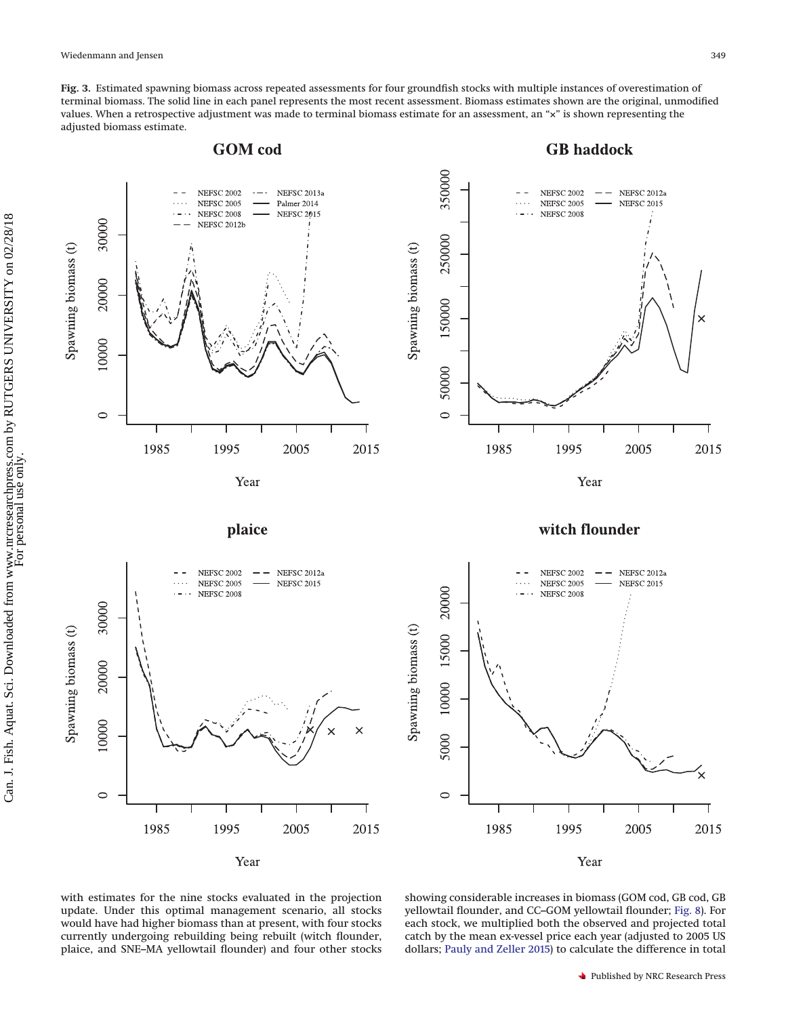<span id="page-7-0"></span>**Fig. 3.** Estimated spawning biomass across repeated assessments for four groundfish stocks with multiple instances of overestimation of terminal biomass. The solid line in each panel represents the most recent assessment. Biomass estimates shown are the original, unmodified values. When a retrospective adjustment was made to terminal biomass estimate for an assessment, an "×" is shown representing the adjusted biomass estimate.



with estimates for the nine stocks evaluated in the projection update. Under this optimal management scenario, all stocks would have had higher biomass than at present, with four stocks currently undergoing rebuilding being rebuilt (witch flounder, plaice, and SNE–MA yellowtail flounder) and four other stocks

showing considerable increases in biomass (GOM cod, GB cod, GB yellowtail flounder, and CC–GOM yellowtail flounder; [Fig. 8\)](#page-12-0). For each stock, we multiplied both the observed and projected total catch by the mean ex-vessel price each year (adjusted to 2005 US dollars; [Pauly and Zeller 2015\)](#page-14-20) to calculate the difference in total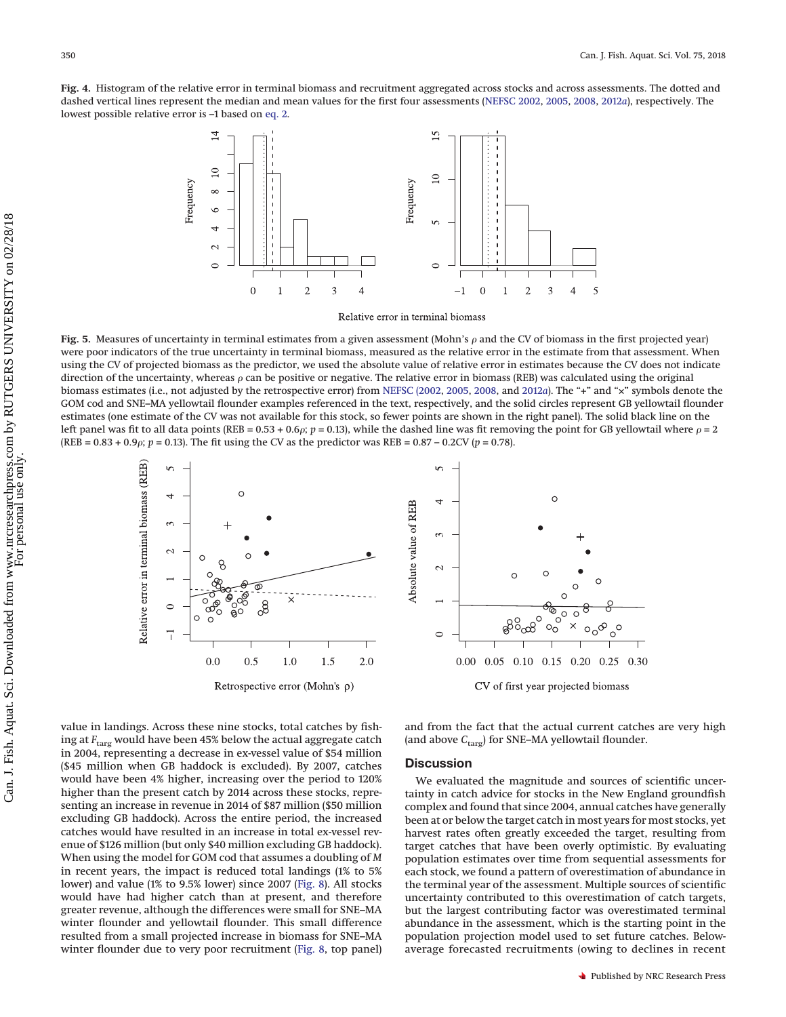<span id="page-8-0"></span>**Fig. 4.** Histogram of the relative error in terminal biomass and recruitment aggregated across stocks and across assessments. The dotted and dashed vertical lines represent the median and mean values for the first four assessments [\(NEFSC 2002,](#page-13-13) [2005,](#page-14-7) [2008,](#page-14-8) [2012](#page-14-11)*a*), respectively. The lowest possible relative error is –1 based on [eq. 2.](#page-2-2)



Relative error in terminal biomass

<span id="page-8-1"></span>**Fig. 5.** Measures of uncertainty in terminal estimates from a given assessment (Mohn's  $\rho$  and the CV of biomass in the first projected year) were poor indicators of the true uncertainty in terminal biomass, measured as the relative error in the estimate from that assessment. When using the CV of projected biomass as the predictor, we used the absolute value of relative error in estimates because the CV does not indicate direction of the uncertainty, whereas  $\rho$  can be positive or negative. The relative error in biomass (REB) was calculated using the original biomass estimates (i.e., not adjusted by the retrospective error) from [NEFSC \(2002,](#page-13-13) [2005,](#page-14-7) [2008,](#page-14-8) and [2012](#page-14-11)*a*). The "+" and "×" symbols denote the GOM cod and SNE–MA yellowtail flounder examples referenced in the text, respectively, and the solid circles represent GB yellowtail flounder estimates (one estimate of the CV was not available for this stock, so fewer points are shown in the right panel). The solid black line on the left panel was fit to all data points (REB = 0.53 + 0.6 $\rho$ ;  $p = 0.13$ ), while the dashed line was fit removing the point for GB yellowtail where  $\rho = 2$  $(REB = 0.83 + 0.9\rho; p = 0.13)$ . The fit using the CV as the predictor was  $REB = 0.87 - 0.2CV (p = 0.78)$ .



value in landings. Across these nine stocks, total catches by fishing at  $F_{\text{targ}}$  would have been 45% below the actual aggregate catch in 2004, representing a decrease in ex-vessel value of \$54 million (\$45 million when GB haddock is excluded). By 2007, catches would have been 4% higher, increasing over the period to 120% higher than the present catch by 2014 across these stocks, representing an increase in revenue in 2014 of \$87 million (\$50 million excluding GB haddock). Across the entire period, the increased catches would have resulted in an increase in total ex-vessel revenue of \$126 million (but only \$40 million excluding GB haddock). When using the model for GOM cod that assumes a doubling of *M* in recent years, the impact is reduced total landings (1% to 5% lower) and value (1% to 9.5% lower) since 2007 [\(Fig. 8\)](#page-12-0). All stocks would have had higher catch than at present, and therefore greater revenue, although the differences were small for SNE–MA winter flounder and yellowtail flounder. This small difference resulted from a small projected increase in biomass for SNE–MA winter flounder due to very poor recruitment [\(Fig. 8,](#page-12-0) top panel) and from the fact that the actual current catches are very high (and above *C*targ) for SNE–MA yellowtail flounder.

 $\frac{1}{\sqrt{2}}$ 

0.30

#### **Discussion**

We evaluated the magnitude and sources of scientific uncertainty in catch advice for stocks in the New England groundfish complex and found that since 2004, annual catches have generally been at or below the target catch in most years for most stocks, yet harvest rates often greatly exceeded the target, resulting from target catches that have been overly optimistic. By evaluating population estimates over time from sequential assessments for each stock, we found a pattern of overestimation of abundance in the terminal year of the assessment. Multiple sources of scientific uncertainty contributed to this overestimation of catch targets, but the largest contributing factor was overestimated terminal abundance in the assessment, which is the starting point in the population projection model used to set future catches. Belowaverage forecasted recruitments (owing to declines in recent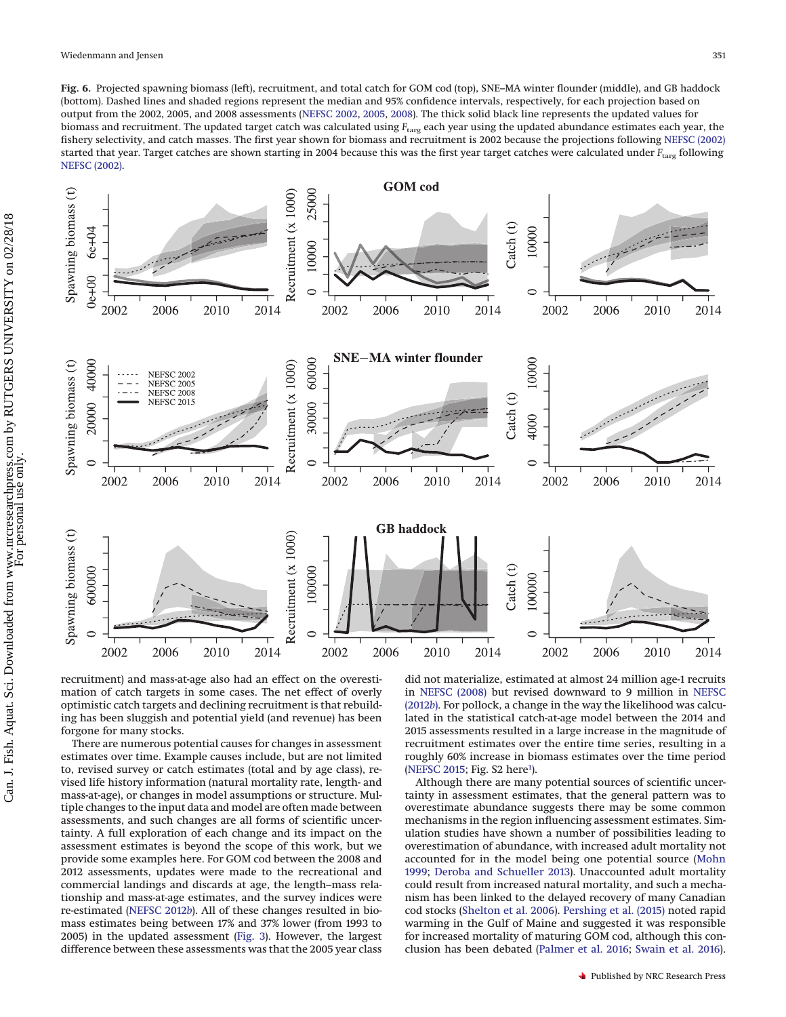<span id="page-9-0"></span>**Fig. 6.** Projected spawning biomass (left), recruitment, and total catch for GOM cod (top), SNE–MA winter flounder (middle), and GB haddock (bottom). Dashed lines and shaded regions represent the median and 95% confidence intervals, respectively, for each projection based on output from the 2002, 2005, and 2008 assessments [\(NEFSC 2002,](#page-13-13) [2005,](#page-14-7) [2008\)](#page-14-8). The thick solid black line represents the updated values for biomass and recruitment. The updated target catch was calculated using *F*targ each year using the updated abundance estimates each year, the fishery selectivity, and catch masses. The first year shown for biomass and recruitment is 2002 because the projections following [NEFSC \(2002\)](#page-13-13) started that year. Target catches are shown starting in 2004 because this was the first year target catches were calculated under  $F_{\text{tary}}$  following [NEFSC \(2002\).](#page-13-13)



recruitment) and mass-at-age also had an effect on the overestimation of catch targets in some cases. The net effect of overly optimistic catch targets and declining recruitment is that rebuilding has been sluggish and potential yield (and revenue) has been forgone for many stocks.

There are numerous potential causes for changes in assessment estimates over time. Example causes include, but are not limited to, revised survey or catch estimates (total and by age class), revised life history information (natural mortality rate, length- and mass-at-age), or changes in model assumptions or structure. Multiple changes to the input data and model are often made between assessments, and such changes are all forms of scientific uncertainty. A full exploration of each change and its impact on the assessment estimates is beyond the scope of this work, but we provide some examples here. For GOM cod between the 2008 and 2012 assessments, updates were made to the recreational and commercial landings and discards at age, the length–mass relationship and mass-at-age estimates, and the survey indices were re-estimated [\(NEFSC 2012](#page-14-12)*b*). All of these changes resulted in biomass estimates being between 17% and 37% lower (from 1993 to 2005) in the updated assessment [\(Fig. 3\)](#page-7-0). However, the largest difference between these assessments was that the 2005 year class

did not materialize, estimated at almost 24 million age-1 recruits in [NEFSC \(2008\)](#page-14-8) but revised downward to 9 million in [NEFSC](#page-14-12) [\(2012](#page-14-12)*b*). For pollock, a change in the way the likelihood was calculated in the statistical catch-at-age model between the 2014 and 2015 assessments resulted in a large increase in the magnitude of recruitment estimates over the entire time series, resulting in a roughly 60% increase in biomass estimates over the time period [\(NEFSC 2015;](#page-14-4) Fig. S2 here<sup>1</sup>).

Although there are many potential sources of scientific uncertainty in assessment estimates, that the general pattern was to overestimate abundance suggests there may be some common mechanisms in the region influencing assessment estimates. Simulation studies have shown a number of possibilities leading to overestimation of abundance, with increased adult mortality not accounted for in the model being one potential source [\(Mohn](#page-13-1) [1999;](#page-13-1) [Deroba and Schueller 2013\)](#page-13-18). Unaccounted adult mortality could result from increased natural mortality, and such a mechanism has been linked to the delayed recovery of many Canadian cod stocks [\(Shelton et al. 2006\)](#page-14-21). [Pershing et al. \(2015\)](#page-14-22) noted rapid warming in the Gulf of Maine and suggested it was responsible for increased mortality of maturing GOM cod, although this conclusion has been debated [\(Palmer et al. 2016;](#page-14-23) [Swain et al. 2016\)](#page-14-24).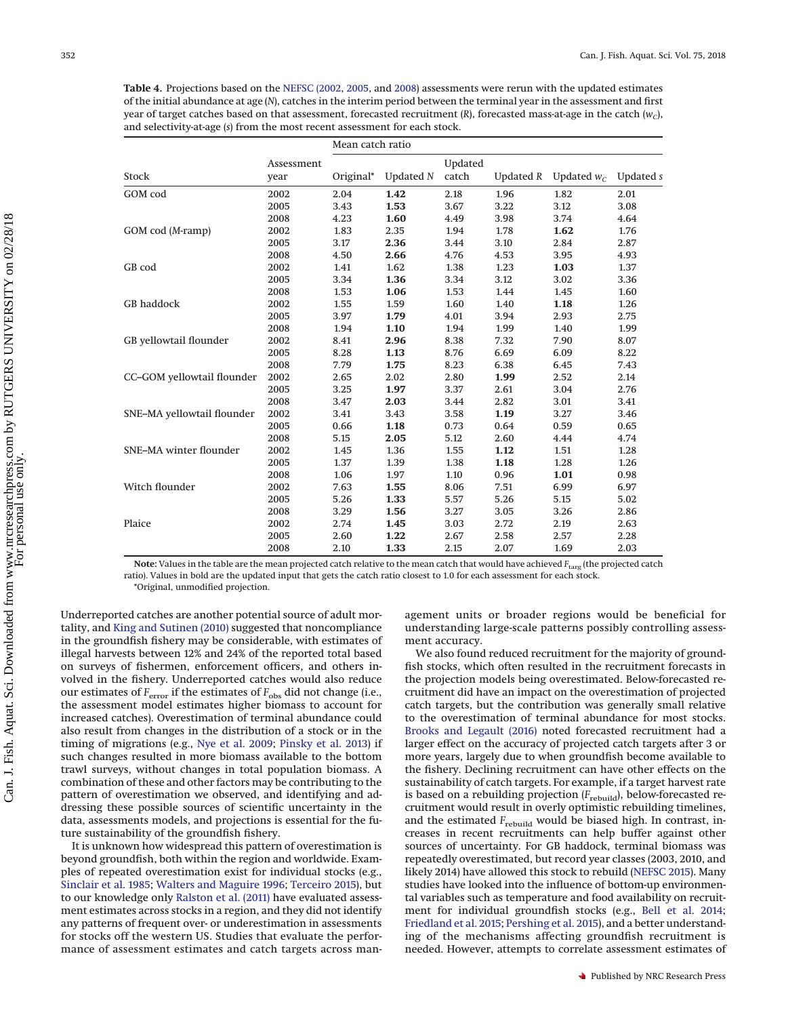<span id="page-10-0"></span>**Table 4.** Projections based on the [NEFSC \(2002,](#page-13-13) [2005,](#page-14-7) and [2008\)](#page-14-8) assessments were rerun with the updated estimates of the initial abundance at age (*N*), catches in the interim period between the terminal year in the assessment and first year of target catches based on that assessment, forecasted recruitment  $(R)$ , forecasted mass-at-age in the catch  $(w<sub>c</sub>)$ , and selectivity-at-age (*s*) from the most recent assessment for each stock.

|                            |                    | Mean catch ratio |                  |         |           |               |           |
|----------------------------|--------------------|------------------|------------------|---------|-----------|---------------|-----------|
|                            | Assessment<br>year |                  |                  | Updated |           |               |           |
| Stock                      |                    | Original*        | <b>Updated N</b> | catch   | Updated R | Updated $w_c$ | Updated s |
| GOM cod                    | 2002               | 2.04             | 1.42             | 2.18    | 1.96      | 1.82          | 2.01      |
|                            | 2005               | 3.43             | 1.53             | 3.67    | 3.22      | 3.12          | 3.08      |
|                            | 2008               | 4.23             | 1.60             | 4.49    | 3.98      | 3.74          | 4.64      |
| GOM cod (M-ramp)           | 2002               | 1.83             | 2.35             | 1.94    | 1.78      | 1.62          | 1.76      |
|                            | 2005               | 3.17             | 2.36             | 3.44    | 3.10      | 2.84          | 2.87      |
|                            | 2008               | 4.50             | 2.66             | 4.76    | 4.53      | 3.95          | 4.93      |
| GB cod                     | 2002               | 1.41             | 1.62             | 1.38    | 1.23      | 1.03          | 1.37      |
|                            | 2005               | 3.34             | 1.36             | 3.34    | 3.12      | 3.02          | 3.36      |
|                            | 2008               | 1.53             | 1.06             | 1.53    | 1.44      | 1.45          | 1.60      |
| <b>GB</b> haddock          | 2002               | 1.55             | 1.59             | 1.60    | 1.40      | 1.18          | 1.26      |
|                            | 2005               | 3.97             | 1.79             | 4.01    | 3.94      | 2.93          | 2.75      |
|                            | 2008               | 1.94             | 1.10             | 1.94    | 1.99      | 1.40          | 1.99      |
| GB yellowtail flounder     | 2002               | 8.41             | 2.96             | 8.38    | 7.32      | 7.90          | 8.07      |
|                            | 2005               | 8.28             | 1.13             | 8.76    | 6.69      | 6.09          | 8.22      |
|                            | 2008               | 7.79             | 1.75             | 8.23    | 6.38      | 6.45          | 7.43      |
| CC-GOM yellowtail flounder | 2002               | 2.65             | 2.02             | 2.80    | 1.99      | 2.52          | 2.14      |
|                            | 2005               | 3.25             | 1.97             | 3.37    | 2.61      | 3.04          | 2.76      |
|                            | 2008               | 3.47             | 2.03             | 3.44    | 2.82      | 3.01          | 3.41      |
| SNE-MA yellowtail flounder | 2002               | 3.41             | 3.43             | 3.58    | 1.19      | 3.27          | 3.46      |
|                            | 2005               | 0.66             | 1.18             | 0.73    | 0.64      | 0.59          | 0.65      |
|                            | 2008               | 5.15             | 2.05             | 5.12    | 2.60      | 4.44          | 4.74      |
| SNE-MA winter flounder     | 2002               | 1.45             | 1.36             | 1.55    | 1.12      | 1.51          | 1.28      |
|                            | 2005               | 1.37             | 1.39             | 1.38    | 1.18      | 1.28          | 1.26      |
|                            | 2008               | 1.06             | 1.97             | 1.10    | 0.96      | 1.01          | 0.98      |
| Witch flounder             | 2002               | 7.63             | 1.55             | 8.06    | 7.51      | 6.99          | 6.97      |
|                            | 2005               | 5.26             | 1.33             | 5.57    | 5.26      | 5.15          | 5.02      |
|                            | 2008               | 3.29             | 1.56             | 3.27    | 3.05      | 3.26          | 2.86      |
| Plaice                     | 2002               | 2.74             | 1.45             | 3.03    | 2.72      | 2.19          | 2.63      |
|                            | 2005               | 2.60             | 1.22             | 2.67    | 2.58      | 2.57          | 2.28      |
|                            | 2008               | 2.10             | 1.33             | 2.15    | 2.07      | 1.69          | 2.03      |

**Note:** Values in the table are the mean projected catch relative to the mean catch that would have achieved *F*targ (the projected catch ratio). Values in bold are the updated input that gets the catch ratio closest to 1.0 for each assessment for each stock.

\*Original, unmodified projection.

Underreported catches are another potential source of adult mortality, and [King and Sutinen \(2010\)](#page-13-19) suggested that noncompliance in the groundfish fishery may be considerable, with estimates of illegal harvests between 12% and 24% of the reported total based on surveys of fishermen, enforcement officers, and others involved in the fishery. Underreported catches would also reduce our estimates of  $F_{\rm error}$  if the estimates of  $F_{\rm obs}$  did not change (i.e., the assessment model estimates higher biomass to account for increased catches). Overestimation of terminal abundance could also result from changes in the distribution of a stock or in the timing of migrations (e.g., [Nye et al. 2009;](#page-14-25) [Pinsky et al. 2013\)](#page-14-26) if such changes resulted in more biomass available to the bottom trawl surveys, without changes in total population biomass. A combination of these and other factors may be contributing to the pattern of overestimation we observed, and identifying and addressing these possible sources of scientific uncertainty in the data, assessments models, and projections is essential for the future sustainability of the groundfish fishery.

It is unknown how widespread this pattern of overestimation is beyond groundfish, both within the region and worldwide. Examples of repeated overestimation exist for individual stocks (e.g., [Sinclair et al. 1985;](#page-14-0) [Walters and Maguire 1996;](#page-14-1) [Terceiro 2015\)](#page-14-27), but to our knowledge only [Ralston et al. \(2011\)](#page-14-6) have evaluated assessment estimates across stocks in a region, and they did not identify any patterns of frequent over- or underestimation in assessments for stocks off the western US. Studies that evaluate the performance of assessment estimates and catch targets across man-

agement units or broader regions would be beneficial for understanding large-scale patterns possibly controlling assessment accuracy.

We also found reduced recruitment for the majority of groundfish stocks, which often resulted in the recruitment forecasts in the projection models being overestimated. Below-forecasted recruitment did have an impact on the overestimation of projected catch targets, but the contribution was generally small relative to the overestimation of terminal abundance for most stocks. [Brooks and Legault \(2016\)](#page-13-5) noted forecasted recruitment had a larger effect on the accuracy of projected catch targets after 3 or more years, largely due to when groundfish become available to the fishery. Declining recruitment can have other effects on the sustainability of catch targets. For example, if a target harvest rate is based on a rebuilding projection ( $F_{\text{rebuild}}$ ), below-forecasted recruitment would result in overly optimistic rebuilding timelines, and the estimated  $F_{\rm{rebuild}}$  would be biased high. In contrast, increases in recent recruitments can help buffer against other sources of uncertainty. For GB haddock, terminal biomass was repeatedly overestimated, but record year classes (2003, 2010, and likely 2014) have allowed this stock to rebuild [\(NEFSC 2015\)](#page-14-4). Many studies have looked into the influence of bottom-up environmental variables such as temperature and food availability on recruitment for individual groundfish stocks (e.g., [Bell et al. 2014;](#page-13-20) [Friedland et al. 2015;](#page-13-21) [Pershing et al. 2015\)](#page-14-22), and a better understanding of the mechanisms affecting groundfish recruitment is needed. However, attempts to correlate assessment estimates of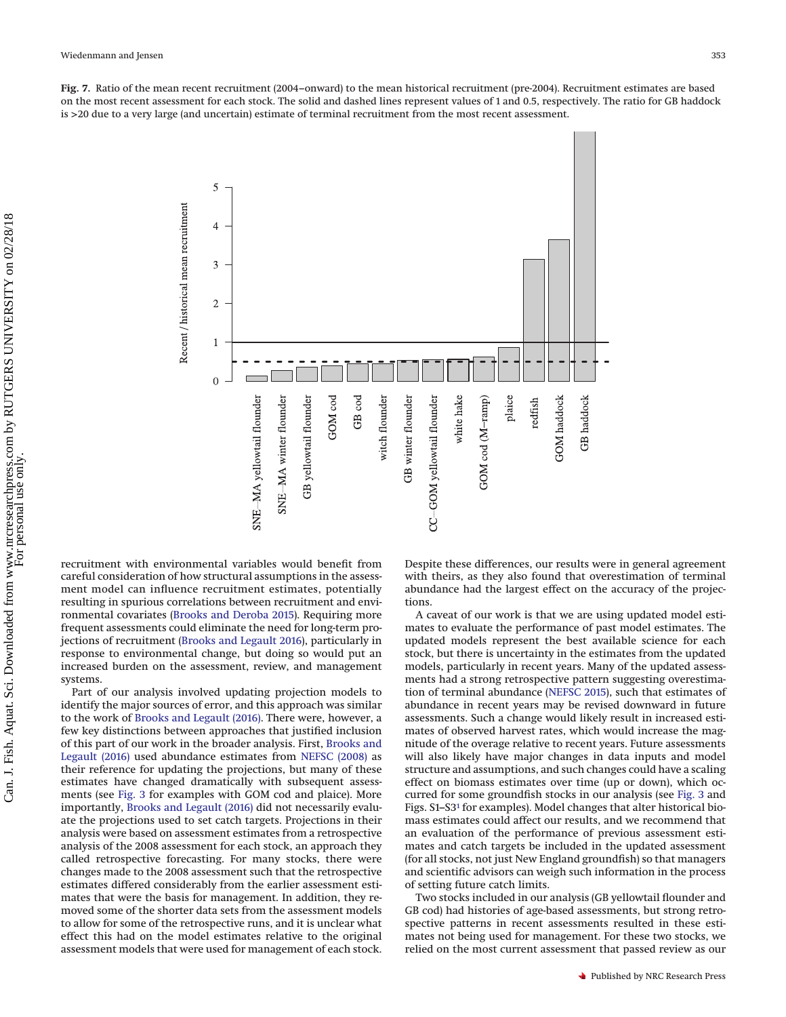<span id="page-11-0"></span>**Fig. 7.** Ratio of the mean recent recruitment (2004–onward) to the mean historical recruitment (pre-2004). Recruitment estimates are based on the most recent assessment for each stock. The solid and dashed lines represent values of 1 and 0.5, respectively. The ratio for GB haddock is >20 due to a very large (and uncertain) estimate of terminal recruitment from the most recent assessment.



recruitment with environmental variables would benefit from careful consideration of how structural assumptions in the assessment model can influence recruitment estimates, potentially resulting in spurious correlations between recruitment and environmental covariates [\(Brooks and Deroba 2015\)](#page-13-2). Requiring more frequent assessments could eliminate the need for long-term projections of recruitment [\(Brooks and Legault 2016\)](#page-13-5), particularly in response to environmental change, but doing so would put an increased burden on the assessment, review, and management systems.

Part of our analysis involved updating projection models to identify the major sources of error, and this approach was similar to the work of [Brooks and Legault \(2016\).](#page-13-5) There were, however, a few key distinctions between approaches that justified inclusion of this part of our work in the broader analysis. First, [Brooks and](#page-13-5) [Legault \(2016\)](#page-13-5) used abundance estimates from [NEFSC \(2008\)](#page-14-8) as their reference for updating the projections, but many of these estimates have changed dramatically with subsequent assessments (see [Fig. 3](#page-7-0) for examples with GOM cod and plaice). More importantly, [Brooks and Legault \(2016\)](#page-13-5) did not necessarily evaluate the projections used to set catch targets. Projections in their analysis were based on assessment estimates from a retrospective analysis of the 2008 assessment for each stock, an approach they called retrospective forecasting. For many stocks, there were changes made to the 2008 assessment such that the retrospective estimates differed considerably from the earlier assessment estimates that were the basis for management. In addition, they removed some of the shorter data sets from the assessment models to allow for some of the retrospective runs, and it is unclear what effect this had on the model estimates relative to the original assessment models that were used for management of each stock. Despite these differences, our results were in general agreement with theirs, as they also found that overestimation of terminal abundance had the largest effect on the accuracy of the projections.

A caveat of our work is that we are using updated model estimates to evaluate the performance of past model estimates. The updated models represent the best available science for each stock, but there is uncertainty in the estimates from the updated models, particularly in recent years. Many of the updated assessments had a strong retrospective pattern suggesting overestimation of terminal abundance [\(NEFSC 2015\)](#page-14-4), such that estimates of abundance in recent years may be revised downward in future assessments. Such a change would likely result in increased estimates of observed harvest rates, which would increase the magnitude of the overage relative to recent years. Future assessments will also likely have major changes in data inputs and model structure and assumptions, and such changes could have a scaling effect on biomass estimates over time (up or down), which occurred for some groundfish stocks in our analysis (see [Fig. 3](#page-7-0) and Figs. S1–S[31](#page-2-0) for examples). Model changes that alter historical biomass estimates could affect our results, and we recommend that an evaluation of the performance of previous assessment estimates and catch targets be included in the updated assessment (for all stocks, not just New England groundfish) so that managers and scientific advisors can weigh such information in the process of setting future catch limits.

Two stocks included in our analysis (GB yellowtail flounder and GB cod) had histories of age-based assessments, but strong retrospective patterns in recent assessments resulted in these estimates not being used for management. For these two stocks, we relied on the most current assessment that passed review as our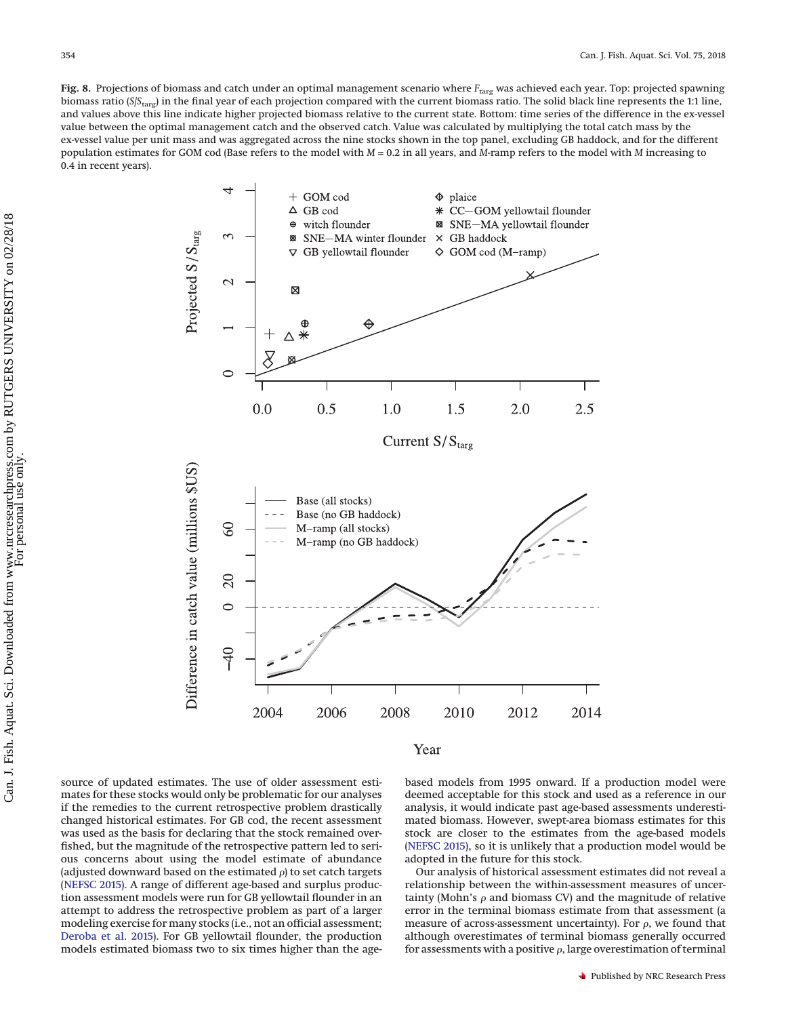<span id="page-12-0"></span>Fig. 8. Projections of biomass and catch under an optimal management scenario where  $F_{\text{targ}}$  was achieved each year. Top: projected spawning biomass ratio (*S*/*S*<sub>targ</sub>) in the final year of each projection compared with the current biomass ratio. The solid black line represents the 1:1 line, and values above this line indicate higher projected biomass relative to the current state. Bottom: time series of the difference in the ex-vessel value between the optimal management catch and the observed catch. Value was calculated by multiplying the total catch mass by the ex-vessel value per unit mass and was aggregated across the nine stocks shown in the top panel, excluding GB haddock, and for the different population estimates for GOM cod (Base refers to the model with *M* = 0.2 in all years, and *M*-ramp refers to the model with *M* increasing to 0.4 in recent years).



Year

source of updated estimates. The use of older assessment estimates for these stocks would only be problematic for our analyses if the remedies to the current retrospective problem drastically changed historical estimates. For GB cod, the recent assessment was used as the basis for declaring that the stock remained overfished, but the magnitude of the retrospective pattern led to serious concerns about using the model estimate of abundance (adjusted downward based on the estimated  $\rho$ ) to set catch targets [\(NEFSC 2015\)](#page-14-4). A range of different age-based and surplus production assessment models were run for GB yellowtail flounder in an attempt to address the retrospective problem as part of a larger modeling exercise for many stocks (i.e., not an official assessment; [Deroba et al. 2015\)](#page-13-22). For GB yellowtail flounder, the production models estimated biomass two to six times higher than the agebased models from 1995 onward. If a production model were deemed acceptable for this stock and used as a reference in our analysis, it would indicate past age-based assessments underestimated biomass. However, swept-area biomass estimates for this stock are closer to the estimates from the age-based models [\(NEFSC 2015\)](#page-14-4), so it is unlikely that a production model would be adopted in the future for this stock.

Our analysis of historical assessment estimates did not reveal a relationship between the within-assessment measures of uncertainty (Mohn's  $\rho$  and biomass CV) and the magnitude of relative error in the terminal biomass estimate from that assessment (a measure of across-assessment uncertainty). For  $\rho$ , we found that although overestimates of terminal biomass generally occurred for assessments with a positive  $\rho$ , large overestimation of terminal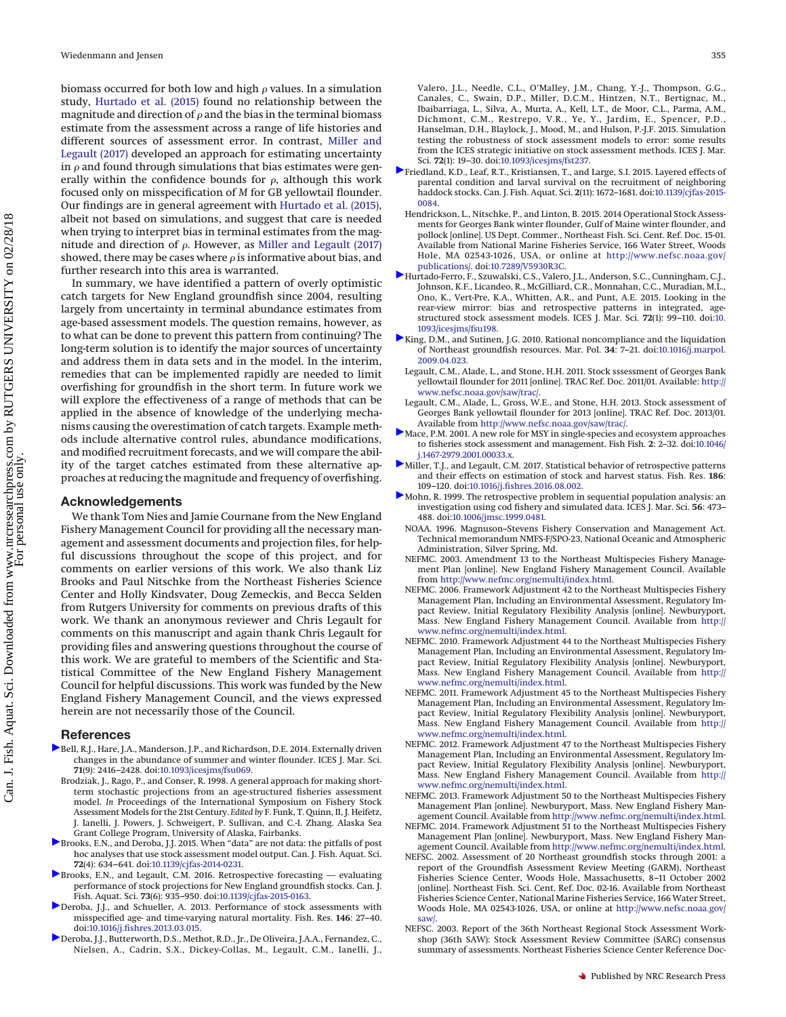biomass occurred for both low and high  $\rho$  values. In a simulation study, [Hurtado et al. \(2015\)](#page-13-23) found no relationship between the magnitude and direction of  $\rho$  and the bias in the terminal biomass estimate from the assessment across a range of life histories and different sources of assessment error. In contrast, [Miller and](#page-13-24) [Legault \(2017\)](#page-13-24) developed an approach for estimating uncertainty in  $\rho$  and found through simulations that bias estimates were generally within the confidence bounds for  $\rho$ , although this work focused only on misspecification of *M* for GB yellowtail flounder. Our findings are in general agreement with [Hurtado et al. \(2015\),](#page-13-23) albeit not based on simulations, and suggest that care is needed when trying to interpret bias in terminal estimates from the magnitude and direction of  $\rho$ . However, as [Miller and Legault \(2017\)](#page-13-24) showed, there may be cases where  $\rho$  is informative about bias, and further research into this area is warranted.

In summary, we have identified a pattern of overly optimistic catch targets for New England groundfish since 2004, resulting largely from uncertainty in terminal abundance estimates from age-based assessment models. The question remains, however, as to what can be done to prevent this pattern from continuing? The long-term solution is to identify the major sources of uncertainty and address them in data sets and in the model. In the interim, remedies that can be implemented rapidly are needed to limit overfishing for groundfish in the short term. In future work we will explore the effectiveness of a range of methods that can be applied in the absence of knowledge of the underlying mechanisms causing the overestimation of catch targets. Example methods include alternative control rules, abundance modifications, and modified recruitment forecasts, and we will compare the ability of the target catches estimated from these alternative approaches at reducing the magnitude and frequency of overfishing.

# **Acknowledgements**

We thank Tom Nies and Jamie Cournane from the New England Fishery Management Council for providing all the necessary management and assessment documents and projection files, for helpful discussions throughout the scope of this project, and for comments on earlier versions of this work. We also thank Liz Brooks and Paul Nitschke from the Northeast Fisheries Science Center and Holly Kindsvater, Doug Zemeckis, and Becca Selden from Rutgers University for comments on previous drafts of this work. We thank an anonymous reviewer and Chris Legault for comments on this manuscript and again thank Chris Legault for providing files and answering questions throughout the course of this work. We are grateful to members of the Scientific and Statistical Committee of the New England Fishery Management Council for helpful discussions. This work was funded by the New England Fishery Management Council, and the views expressed herein are not necessarily those of the Council.

## **References**

- <span id="page-13-20"></span>[B](http://www.nrcresearchpress.com/action/showLinks?doi=10.1139%2Fcjfas-2016-0484&crossref=10.1093%2Ficesjms%2Ffsu069&citationId=p_1_1)ell, R.J., Hare, J.A., Manderson, J.P., and Richardson, D.E. 2014. Externally driven changes in the abundance of summer and winter flounder. ICES J. Mar. Sci. **71**(9): 2416–2428. doi[:10.1093/icesjms/fsu069.](http://dx.doi.org/10.1093/icesjms/fsu069)
- <span id="page-13-17"></span>Brodziak, J., Rago, P., and Conser, R. 1998. A general approach for making shortterm stochastic projections from an age-structured fisheries assessment model. *In* Proceedings of the International Symposium on Fishery Stock Assessment Models for the 21st Century. *Edited by* F. Funk, T. Quinn, II, J. Heifetz, J. Ianelli, J. Powers, J. Schweigert, P. Sullivan, and C.-I. Zhang. Alaska Sea Grant College Program, University of Alaska, Fairbanks.
- <span id="page-13-2"></span>[B](http://www.nrcresearchpress.com/action/showLinks?doi=10.1139%2Fcjfas-2016-0484&system=10.1139%2Fcjfas-2014-0231&citationId=p_3_1)rooks, E.N., and Deroba, J.J. 2015. When "data" are not data: the pitfalls of post hoc analyses that use stock assessment model output. Can. J. Fish. Aquat. Sci. **72**(4): 634–641. doi[:10.1139/cjfas-2014-0231.](http://dx.doi.org/10.1139/cjfas-2014-0231)
- <span id="page-13-5"></span>[B](http://www.nrcresearchpress.com/action/showLinks?doi=10.1139%2Fcjfas-2016-0484&system=10.1139%2Fcjfas-2015-0163&citationId=p_4_1)rooks, E.N., and Legault, C.M. 2016. Retrospective forecasting — evaluating performance of stock projections for New England groundfish stocks. Can. J. Fish. Aquat. Sci. **73**(6): 935–950. doi[:10.1139/cjfas-2015-0163.](http://dx.doi.org/10.1139/cjfas-2015-0163)
- <span id="page-13-18"></span>[D](http://www.nrcresearchpress.com/action/showLinks?doi=10.1139%2Fcjfas-2016-0484&crossref=10.1016%2Fj.fishres.2013.03.015&citationId=p_5_1)eroba, J.J., and Schueller, A. 2013. Performance of stock assessments with misspecified age- and time-varying natural mortality. Fish. Res. **146**: 27–40. doi[:10.1016/j.fishres.2013.03.015.](http://dx.doi.org/10.1016/j.fishres.2013.03.015)
- <span id="page-13-22"></span>[D](http://www.nrcresearchpress.com/action/showLinks?doi=10.1139%2Fcjfas-2016-0484&crossref=10.1093%2Ficesjms%2Ffst237&citationId=p_6_1)eroba, J.J., Butterworth, D.S., Methot, R.D., Jr., De Oliveira, J.A.A., Fernandez, C., Nielsen, A., Cadrin, S.X., Dickey-Collas, M., Legault, C.M., Ianelli, J.,

Valero, J.L., Needle, C.L., O'Malley, J.M., Chang, Y.-J., Thompson, G.G., Canales, C., Swain, D.P., Miller, D.C.M., Hintzen, N.T., Bertignac, M., Ibaibarriaga, L., Silva, A., Murta, A., Kell, L.T., de Moor, C.L., Parma, A.M., Dichmont, C.M., Restrepo, V.R., Ye, Y., Jardim, E., Spencer, P.D., Hanselman, D.H., Blaylock, J., Mood, M., and Hulson, P.-J.F. 2015. Simulation testing the robustness of stock assessment models to error: some results from the ICES strategic initiative on stock assessment methods. ICES J. Mar. Sci. **72**(1): 19–30. doi[:10.1093/icesjms/fst237.](http://dx.doi.org/10.1093/icesjms/fst237)

- <span id="page-13-21"></span>[F](http://www.nrcresearchpress.com/action/showLinks?doi=10.1139%2Fcjfas-2016-0484&system=10.1139%2Fcjfas-2015-0084&citationId=p_7_1)riedland, K.D., Leaf, R.T., Kristiansen, T., and Large, S.I. 2015. Layered effects of parental condition and larval survival on the recruitment of neighboring haddock stocks. Can. J. Fish. Aquat. Sci. **2**(11): 1672–1681. doi[:10.1139/cjfas-2015-](http://dx.doi.org/10.1139/cjfas-2015-0084) [0084.](http://dx.doi.org/10.1139/cjfas-2015-0084)
- <span id="page-13-16"></span>Hendrickson, L., Nitschke, P., and Linton, B. 2015. 2014 Operational Stock Assessments for Georges Bank winter flounder, Gulf of Maine winter flounder, and pollock [online]. US Dept. Commer., Northeast Fish. Sci. Cent. Ref. Doc. 15-01. Available from National Marine Fisheries Service, 166 Water Street, Woods Hole, MA 02543-1026, USA, or online at [http://www.nefsc.noaa.gov/](http://www.nefsc.noaa.gov/publications/) [publications/.](http://www.nefsc.noaa.gov/publications/) doi[:10.7289/V5930R3C.](http://dx.doi.org/10.7289/V5930R3C)
- <span id="page-13-23"></span>[H](http://www.nrcresearchpress.com/action/showLinks?doi=10.1139%2Fcjfas-2016-0484&crossref=10.1093%2Ficesjms%2Ffsu198&citationId=p_9_1)urtado-Ferro, F., Szuwalski, C.S., Valero, J.L., Anderson, S.C., Cunningham, C.J., Johnson, K.F., Licandeo, R., McGilliard, C.R., Monnahan, C.C., Muradian, M.L., Ono, K., Vert-Pre, K.A., Whitten, A.R., and Punt, A.E. 2015. Looking in the rear-view mirror: bias and retrospective patterns in integrated, agestructured stock assessment models. ICES J. Mar. Sci. **72**(1): 99–110. doi[:10.](http://dx.doi.org/10.1093/icesjms/fsu198) [1093/icesjms/fsu198.](http://dx.doi.org/10.1093/icesjms/fsu198)
- <span id="page-13-19"></span>[K](http://www.nrcresearchpress.com/action/showLinks?doi=10.1139%2Fcjfas-2016-0484&crossref=10.1016%2Fj.marpol.2009.04.023&isi=000271128300002&citationId=p_10_1)ing, D.M., and Sutinen, J.G. 2010. Rational noncompliance and the liquidation of Northeast groundfish resources. Mar. Pol. **34**: 7–21. doi[:10.1016/j.marpol.](http://dx.doi.org/10.1016/j.marpol.2009.04.023) [2009.04.023.](http://dx.doi.org/10.1016/j.marpol.2009.04.023)
- <span id="page-13-15"></span>Legault, C.M., Alade, L., and Stone, H.H. 2011. Stock sssessment of Georges Bank yellowtail flounder for 2011 [online]. TRAC Ref. Doc. 2011/01. Available: [http://](http://www.nefsc.noaa.gov/saw/trac/) [www.nefsc.noaa.gov/saw/trac/.](http://www.nefsc.noaa.gov/saw/trac/)
- <span id="page-13-6"></span>Legault, C.M., Alade, L., Gross, W.E., and Stone, H.H. 2013. Stock assessment of Georges Bank yellowtail flounder for 2013 [online]. TRAC Ref. Doc. 2013/01. Available from [http://www.nefsc.noaa.gov/saw/trac/.](http://www.nefsc.noaa.gov/saw/trac/)
- <span id="page-13-0"></span>[M](http://www.nrcresearchpress.com/action/showLinks?doi=10.1139%2Fcjfas-2016-0484&crossref=10.1046%2Fj.1467-2979.2001.00033.x&citationId=p_13_1)ace, P.M. 2001. A new role for MSY in single-species and ecosystem approaches to fisheries stock assessment and management. Fish Fish. **2**: 2–32. doi[:10.1046/](http://dx.doi.org/10.1046/j.1467-2979.2001.00033.x) [j.1467-2979.2001.00033.x.](http://dx.doi.org/10.1046/j.1467-2979.2001.00033.x)
- <span id="page-13-24"></span>[M](http://www.nrcresearchpress.com/action/showLinks?doi=10.1139%2Fcjfas-2016-0484&crossref=10.1016%2Fj.fishres.2016.08.002&citationId=p_14_1)iller, T.J., and Legault, C.M. 2017. Statistical behavior of retrospective patterns and their effects on estimation of stock and harvest status. Fish. Res. **186**: 109–120. doi[:10.1016/j.fishres.2016.08.002.](http://dx.doi.org/10.1016/j.fishres.2016.08.002)
- <span id="page-13-1"></span>[M](http://www.nrcresearchpress.com/action/showLinks?doi=10.1139%2Fcjfas-2016-0484&crossref=10.1006%2Fjmsc.1999.0481&isi=000082244700010&citationId=p_15_1)ohn, R. 1999. The retrospective problem in sequential population analysis: an investigation using cod fishery and simulated data. ICES J. Mar. Sci. **56**: 473– 488. doi[:10.1006/jmsc.1999.0481.](http://dx.doi.org/10.1006/jmsc.1999.0481)
- <span id="page-13-3"></span>NOAA. 1996. Magnuson–Stevens Fishery Conservation and Management Act. Technical memorandum NMFS-F/SPO-23, National Oceanic and Atmospheric Administration, Silver Spring, Md.
- <span id="page-13-4"></span>NEFMC. 2003. Amendment 13 to the Northeast Multispecies Fishery Management Plan [online]. New England Fishery Management Council. Available from [http://www.nefmc.org/nemulti/index.html.](http://www.nefmc.org/nemulti/index.html)
- <span id="page-13-7"></span>NEFMC. 2006. Framework Adjustment 42 to the Northeast Multispecies Fishery Management Plan, Including an Environmental Assessment, Regulatory Impact Review, Initial Regulatory Flexibility Analysis [online]. Newburyport, Mass. New England Fishery Management Council. Available from [http://](http://www.nefmc.org/nemulti/index.html) [www.nefmc.org/nemulti/index.html.](http://www.nefmc.org/nemulti/index.html)
- <span id="page-13-8"></span>NEFMC. 2010. Framework Adjustment 44 to the Northeast Multispecies Fishery Management Plan, Including an Environmental Assessment, Regulatory Impact Review, Initial Regulatory Flexibility Analysis [online]. Newburyport, Mass. New England Fishery Management Council. Available from [http://](http://www.nefmc.org/nemulti/index.html) [www.nefmc.org/nemulti/index.html.](http://www.nefmc.org/nemulti/index.html)
- <span id="page-13-9"></span>NEFMC. 2011. Framework Adjustment 45 to the Northeast Multispecies Fishery Management Plan, Including an Environmental Assessment, Regulatory Impact Review, Initial Regulatory Flexibility Analysis [online]. Newburyport, Mass. New England Fishery Management Council. Available from [http://](http://www.nefmc.org/nemulti/index.html) [www.nefmc.org/nemulti/index.html.](http://www.nefmc.org/nemulti/index.html)
- <span id="page-13-10"></span>NEFMC. 2012. Framework Adjustment 47 to the Northeast Multispecies Fishery Management Plan, Including an Environmental Assessment, Regulatory Impact Review, Initial Regulatory Flexibility Analysis [online]. Newburyport, Mass. New England Fishery Management Council. Available from [http://](http://www.nefmc.org/nemulti/index.html) [www.nefmc.org/nemulti/index.html.](http://www.nefmc.org/nemulti/index.html)
- <span id="page-13-11"></span>NEFMC. 2013. Framework Adjustment 50 to the Northeast Multispecies Fishery Management Plan [online]. Newburyport, Mass. New England Fishery Management Council. Available from [http://www.nefmc.org/nemulti/index.html.](http://www.nefmc.org/nemulti/index.html)
- <span id="page-13-12"></span>NEFMC. 2014. Framework Adjustment 51 to the Northeast Multispecies Fishery Management Plan [online]. Newburyport, Mass. New England Fishery Management Council. Available from [http://www.nefmc.org/nemulti/index.html.](http://www.nefmc.org/nemulti/index.html)
- <span id="page-13-13"></span>NEFSC. 2002. Assessment of 20 Northeast groundfish stocks through 2001: a report of the Groundfish Assessment Review Meeting (GARM), Northeast Fisheries Science Center, Woods Hole, Massachusetts, 8–11 October 2002 [online]. Northeast Fish. Sci. Cent. Ref. Doc. 02-16. Available from Northeast Fisheries Science Center, National Marine Fisheries Service, 166 Water Street, Woods Hole, MA 02543-1026, USA, or online at [http://www.nefsc.noaa.gov/](http://www.nefsc.noaa.gov/saw/) [saw/.](http://www.nefsc.noaa.gov/saw/)
- <span id="page-13-14"></span>NEFSC. 2003. Report of the 36th Northeast Regional Stock Assessment Workshop (36th SAW): Stock Assessment Review Committee (SARC) consensus summary of assessments. Northeast Fisheries Science Center Reference Doc-